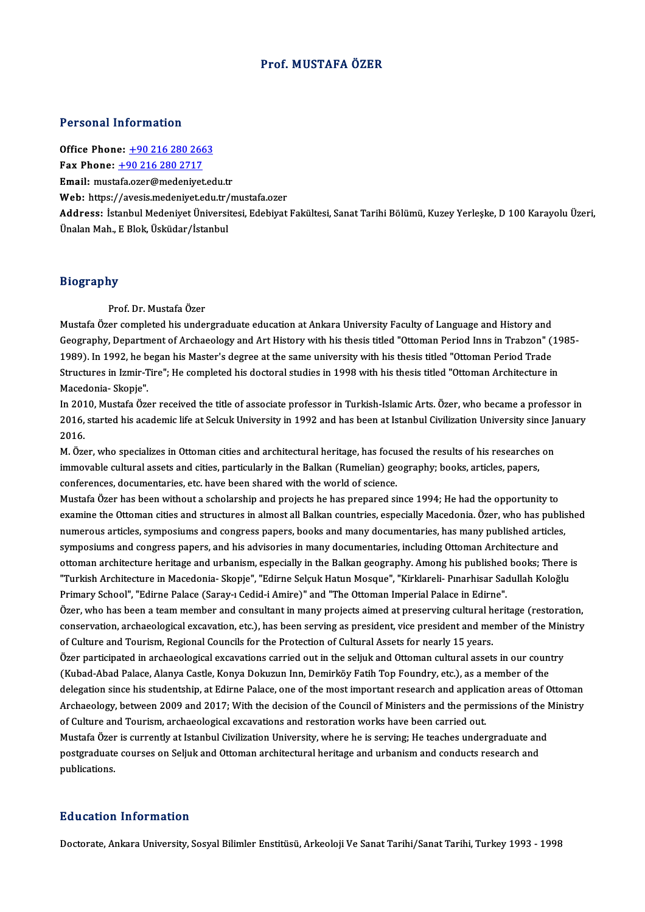### Prof.MUSTAFA ÖZER

### Personal Information

Office Phone: +90 216 280 2663

Fax Phone:  $+902162802717$ 

Email: must[afa.ozer@medeniye](tel:+90 216 280 2717)[t.ed](tel:+90 216 280 2663)u.tr

Web: https://avesis.medeniyet.edu.tr/mustafa.ozer

Email: mustafa.ozer@medeniyet.edu.tr<br>Web: https://avesis.medeniyet.edu.tr/mustafa.ozer<br>Address: İstanbul Medeniyet Üniversitesi, Edebiyat Fakültesi, Sanat Tarihi Bölümü, Kuzey Yerleşke, D 100 Karayolu Üzeri,<br>Ünalan Mah, E Web: https://avesis.medeniyet.edu.tr/<br>Address: İstanbul Medeniyet Üniversi<br>Ünalan Mah., E Blok, Üsküdar/İstanbul Ünalan Mah., E Blok, Üsküdar/İstanbul<br>Biography

Prof.Dr.MustafaÖzer

Mustafa Özer completed his undergraduate education at Ankara University Faculty of Language and History and Prof. Dr. Mustafa Özer<br>Mustafa Özer completed his undergraduate education at Ankara University Faculty of Language and History and<br>Geography, Department of Archaeology and Art History with his thesis titled "Ottoman Period Mustafa Özer completed his undergraduate education at Ankara University Faculty of Language and History and<br>Geography, Department of Archaeology and Art History with his thesis titled "Ottoman Period Inns in Trabzon" (<br>198 Geography, Department of Archaeology and Art History with his thesis titled "Ottoman Period Inns in Trabzon" (19<br>1989). In 1992, he began his Master's degree at the same university with his thesis titled "Ottoman Period Tr 1989). In 1992, he b<br>Structures in Izmir-T<br>Macedonia- Skopje".<br>In 2010. Mustafa Öze Structures in Izmir-Tire"; He completed his doctoral studies in 1998 with his thesis titled "Ottoman Architecture in<br>Macedonia- Skopje".<br>In 2010, Mustafa Özer received the title of associate professor in Turkish-Islamic Ar

Macedonia- Skopje".<br>In 2010, Mustafa Özer received the title of associate professor in Turkish-Islamic Arts. Özer, who became a professor in<br>2016, started his academic life at Selcuk University in 1992 and has been at Ista In 201<br>2016,<br>2016 2016, started his academic life at Selcuk University in 1992 and has been at Istanbul Civilization University since Ja<br>2016.<br>M. Özer, who specializes in Ottoman cities and architectural heritage, has focused the results of

2016.<br>M. Özer, who specializes in Ottoman cities and architectural heritage, has focused the results of his researches<br>immovable cultural assets and cities, particularly in the Balkan (Rumelian) geography; books, articles, M. Özer, who specializes in Ottoman cities and architectural heritage, has focum<br>movable cultural assets and cities, particularly in the Balkan (Rumelian) ge<br>conferences, documentaries, etc. have been shared with the world

conferences, documentaries, etc. have been shared with the world of science.<br>Mustafa Özer has been without a scholarship and projects he has prepared since 1994; He had the opportunity to conferences, documentaries, etc. have been shared with the world of science.<br>Mustafa Özer has been without a scholarship and projects he has prepared since 1994; He had the opportunity to<br>examine the Ottoman cities and str Mustafa Özer has been without a scholarship and projects he has prepared since 1994; He had the opportunity to<br>examine the Ottoman cities and structures in almost all Balkan countries, especially Macedonia. Özer, who has p examine the Ottoman cities and structures in almost all Balkan countries, especially Macedonia. Özer, who has publ<br>numerous articles, symposiums and congress papers, books and many documentaries, has many published article numerous articles, symposiums and congress papers, books and many documentaries, has many published articles,<br>symposiums and congress papers, and his advisories in many documentaries, including Ottoman Architecture and<br>ott symposiums and congress papers, and his advisories in many documentaries, including Ottoman Architecture and<br>ottoman architecture heritage and urbanism, especially in the Balkan geography. Among his published books; There ottoman architecture heritage and urbanism, especially in the Balkan geography. Among his published<br>"Turkish Architecture in Macedonia- Skopje", "Edirne Selçuk Hatun Mosque", "Kirklareli- Pınarhisar Sac<br>Primary School", "E "Turkish Architecture in Macedonia- Skopje", "Edirne Selçuk Hatun Mosque", "Kirklareli- Pınarhisar Sadullah Koloğlu<br>Primary School", "Edirne Palace (Saray-ı Cedid-i Amire)" and "The Ottoman Imperial Palace in Edirne".

Primary School", "Edirne Palace (Saray-ı Cedid-i Amire)" and "The Ottoman Imperial Palace in Edirne".<br>Özer, who has been a team member and consultant in many projects aimed at preserving cultural heritage (restoration,<br>con Özer, who has been a team member and consultant in many projects aimed at preserving cultural heritage (restoration,<br>conservation, archaeological excavation, etc.), has been serving as president, vice president and member conservation, archaeological excavation, etc.), has been serving as president, vice president and member of the Mini<br>of Culture and Tourism, Regional Councils for the Protection of Cultural Assets for nearly 15 years.<br>Özer

of Culture and Tourism, Regional Councils for the Protection of Cultural Assets for nearly 15 years.<br>Özer participated in archaeological excavations carried out in the seljuk and Ottoman cultural assets in our count<br>(Kubad Özer participated in archaeological excavations carried out in the seljuk and Ottoman cultural assets in our country<br>(Kubad-Abad Palace, Alanya Castle, Konya Dokuzun Inn, Demirköy Fatih Top Foundry, etc.), as a member of t (Kubad-Abad Palace, Alanya Castle, Konya Dokuzun Inn, Demirköy Fatih Top Foundry, etc.), as a member of the<br>delegation since his studentship, at Edirne Palace, one of the most important research and application areas of Ot delegation since his studentship, at Edirne Palace, one of the most important research and applica<br>Archaeology, between 2009 and 2017; With the decision of the Council of Ministers and the perm<br>of Culture and Tourism, arch Archaeology, between 2009 and 2017; With the decision of the Council of Ministers and the permissions of the l<br>of Culture and Tourism, archaeological excavations and restoration works have been carried out.<br>Mustafa Özer is

of Culture and Tourism, archaeological excavations and restoration works have been carried out.<br>Mustafa Özer is currently at Istanbul Civilization University, where he is serving; He teaches undergraduate an<br>postgraduate c Mustafa Özer<br>postgraduate<br>publications. publications.<br>Education Information

Doctorate, Ankara University, Sosyal Bilimler Enstitüsü, Arkeoloji Ve Sanat Tarihi/Sanat Tarihi, Turkey 1993 - 1998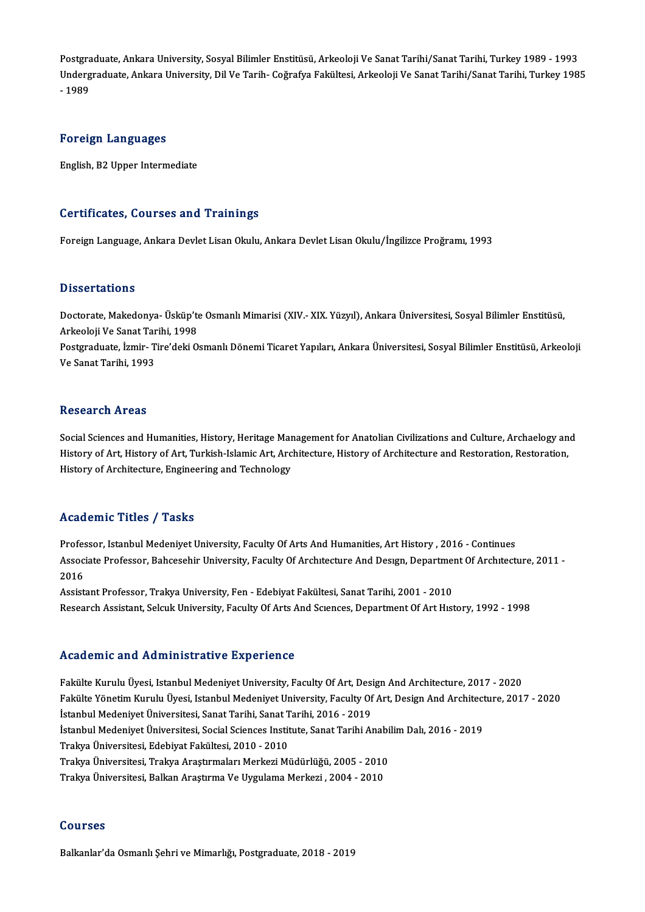Postgraduate, Ankara University, Sosyal Bilimler Enstitüsü, Arkeoloji Ve Sanat Tarihi/Sanat Tarihi, Turkey 1989 - 1993<br>Undergraduate, Ankara University, Sosyal Bilimler Enstitüsü, Arkeoloji Ve Sanat Tarihi/Sanat Tarihi, Tu Postgraduate, Ankara University, Sosyal Bilimler Enstitüsü, Arkeoloji Ve Sanat Tarihi/Sanat Tarihi, Turkey 1989 - 1993<br>Undergraduate, Ankara University, Dil Ve Tarih- Coğrafya Fakültesi, Arkeoloji Ve Sanat Tarihi/Sanat Tar Postgra<br>Underg<br>- 1989 Foreign Languages

English,B2Upper Intermediate

### Certificates, Courses and Trainings

Foreign Language, Ankara Devlet Lisan Okulu, Ankara Devlet Lisan Okulu/İngilizce Proğramı, 1993

### **Dissertations**

Dissertations<br>Doctorate, Makedonya- Üsküp'te Osmanlı Mimarisi (XIV.- XIX. Yüzyıl), Ankara Üniversitesi, Sosyal Bilimler Enstitüsü,<br>Arkeoloji Ve Sanat Tarihi, 1999 2 19991 tatrome<br>Doctorate, Makedonya- Üsküp'te<br>Arkeoloji Ve Sanat Tarihi, 1998<br>Postaraduate İsmir, Tiro'deki Q Doctorate, Makedonya- Üsküp'te Osmanlı Mimarisi (XIV.- XIX. Yüzyıl), Ankara Üniversitesi, Sosyal Bilimler Enstitüsü,<br>Arkeoloji Ve Sanat Tarihi, 1998<br>Postgraduate, İzmir- Tire'deki Osmanlı Dönemi Ticaret Yapıları, Ankara Ün

Arkeoloji Ve Sanat Tar<br>Postgraduate, İzmir- T<br>Ve Sanat Tarihi, 1993 Ve Sanat Tarihi, 1993<br>Research Areas

Research Areas<br>Social Sciences and Humanities, History, Heritage Management for Anatolian Civilizations and Culture, Archaelogy and<br>History of Art, History of Art, Turkish Jelamis Art, Architecture, History of Architecture Hested: en III cas<br>Social Sciences and Humanities, History, Heritage Management for Anatolian Civilizations and Culture, Archaelogy an<br>History of Architecture, Engineering and Technelogy. Social Sciences and Humanities, History, Heritage Mar<br>History of Art, History of Art, Turkish-Islamic Art, Arc<br>History of Architecture, Engineering and Technology History of Architecture, Engineering and Technology<br>Academic Titles / Tasks

Professor, Istanbul Medeniyet University, Faculty Of Arts And Humanities, Art History , 2016 - Continues AssociateMilter Profes / Profes<br>Professor, Istanbul Medeniyet University, Faculty Of Arts And Humanities, Art History , 2016 - Continues<br>Associate Professor, Bahcesehir University, Faculty Of Architecture And Design, Depar Profes<br>Assoc<br>2016<br>Assist Associate Professor, Bahcesehir University, Faculty Of Architecture And Design, Departmen<br>2016<br>Assistant Professor, Trakya University, Fen - Edebiyat Fakültesi, Sanat Tarihi, 2001 - 2010<br>Besearch Assistant, Salsuk Universi

2016<br>Assistant Professor, Trakya University, Fen - Edebiyat Fakültesi, Sanat Tarihi, 2001 - 2010<br>Research Assistant, Selcuk University, Faculty Of Arts And Scıences, Department Of Art Hıstory, 1992 - 1998

### Academic and Administrative Experience

Academic and Administrative Experience<br>Fakülte Kurulu Üyesi, Istanbul Medeniyet University, Faculty Of Art, Design And Architecture, 2017 - 2020<br>Fakülte Vänetin Kurulu Üyesi, Istanbul Medeniyet University, Faculty Of Art, Fakülte Kurulu Üyesi, Istanbul Medeniyet University, Faculty Of Art, Design And Architecture, 2017 - 2020<br>Fakülte Kurulu Üyesi, Istanbul Medeniyet University, Faculty Of Art, Design And Architecture, 2017 - 2020<br>İstanbul M Fakülte Kurulu Üyesi, Istanbul Medeniyet University, Faculty Of Art, Desi<br>Fakülte Yönetim Kurulu Üyesi, Istanbul Medeniyet University, Faculty Of<br>İstanbul Medeniyet Üniversitesi, Sanat Tarihi, Sanat Tarihi, 2016 - 2019<br>İst Fakülte Yönetim Kurulu Üyesi, Istanbul Medeniyet University, Faculty Of Art, Design And Architect<br>İstanbul Medeniyet Üniversitesi, Sanat Tarihi, Sanat Tarihi, 2016 - 2019<br>İstanbul Medeniyet Üniversitesi, Social Sciences In İstanbul Medeniyet Üniversitesi, Sanat Tarihi, Sanat T<br>İstanbul Medeniyet Üniversitesi, Social Sciences Instit<br>Trakya Üniversitesi, Edebiyat Fakültesi, 2010 - 2010<br>Trakya Üniversitesi, Trakya Arastırmaları Markari Mi İstanbul Medeniyet Üniversitesi, Social Sciences Institute, Sanat Tarihi Anabi<br>Trakya Üniversitesi, Edebiyat Fakültesi, 2010 - 2010<br>Trakya Üniversitesi, Trakya Araştırmaları Merkezi Müdürlüğü, 2005 - 2010<br>Trakya Üniversite Trakya Üniversitesi, Edebiyat Fakültesi, 2010 - 2010<br>Trakya Üniversitesi, Trakya Araştırmaları Merkezi Müdürlüğü, 2005 - 2010<br>Trakya Üniversitesi, Balkan Araştırma Ve Uygulama Merkezi , 2004 - 2010

### Courses

Balkanlar'da Osmanlı Şehri ve Mimarlığı, Postgraduate, 2018 - 2019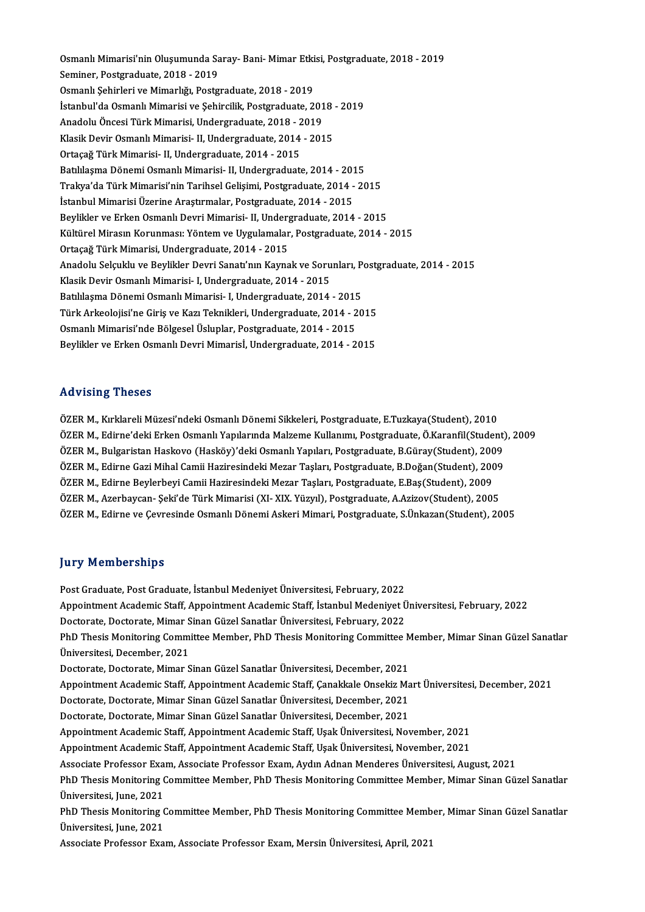Osmanlı Mimarisi'nin Oluşumunda Saray- Bani- Mimar Etkisi, Postgraduate, 2018 - 2019<br>Seminer, Postgraduate, 2019 - 2019 Osmanlı Mimarisi'nin Oluşumunda Sa<br>Seminer, Postgraduate, 2018 - 2019<br>Osmanlı Sehirleri ve Mimarlığı, Bestg Osmanlı Mimarisi'nin Oluşumunda Saray- Bani- Mimar Etki<br>Seminer, Postgraduate, 2018 - 2019<br>Osmanlı Şehirleri ve Mimarlığı, Postgraduate, 2018 - 2019<br>İstanbul'de Osmanlı Mimarisi ve Sehinsilik Postgraduate, 2 Seminer, Postgraduate, 2018 - 2019<br>Osmanlı Şehirleri ve Mimarlığı, Postgraduate, 2018 - 2019<br>İstanbul'da Osmanlı Mimarisi ve Şehircilik, Postgraduate, 2018 - 2019<br>Anadelu Önessi Türk Mimarisi, Undersraduate, 2018 - 2019 Osmanlı Şehirleri ve Mimarlığı, Postgraduate, 2018 - 2019<br>İstanbul'da Osmanlı Mimarisi ve Şehircilik, Postgraduate, 201<br>Anadolu Öncesi Türk Mimarisi, Undergraduate, 2018 - 2019<br>Klasik Devir Osmanlı Mimarisi, U. Undergradua İstanbul'da Osmanlı Mimarisi ve Şehircilik, Postgraduate, 2018<br>Anadolu Öncesi Türk Mimarisi, Undergraduate, 2018 - 2019<br>Klasik Devir Osmanlı Mimarisi- II, Undergraduate, 2014 - 2015<br>Ortacağ Türk Mimarisi, II, Undergraduate Anadolu Öncesi Türk Mimarisi, Undergraduate, 2018 - 2019<br>Klasik Devir Osmanlı Mimarisi- II, Undergraduate, 2014 - 2015<br>Ortaçağ Türk Mimarisi- II, Undergraduate, 2014 - 2015 Batılılaşma Dönemi Osmanlı Mimarisi- II, Undergraduate, 2014 - 2015 Trakya'da Türk Mimarisi'nin Tarihsel Gelisimi, Postgraduate, 2014 - 2015 İstanbul Mimarisi Üzerine Araştırmalar, Postgraduate, 2014 - 2015 Trakya'da Türk Mimarisi'nin Tarihsel Gelişimi, Postgraduate, 2014 - 2015<br>İstanbul Mimarisi Üzerine Araştırmalar, Postgraduate, 2014 - 2015<br>Beylikler ve Erken Osmanlı Devri Mimarisi- II, Undergraduate, 2014 - 2015<br>Kültürel İstanbul Mimarisi Üzerine Araştırmalar, Postgraduate, 2014 - 2015<br>Beylikler ve Erken Osmanlı Devri Mimarisi- II, Undergraduate, 2014 - 2015<br>Kültürel Mirasın Korunması: Yöntem ve Uygulamalar, Postgraduate, 2014 - 2015<br>Ortac Beylikler ve Erken Osmanlı Devri Mimarisi- II, Underg<br>Kültürel Mirasın Korunması: Yöntem ve Uygulamalar<br>Ortaçağ Türk Mimarisi, Undergraduate, 2014 - 2015<br>Anadolu Sokultlu ve Pevlikler Devri Senat''nın Kevre Kültürel Mirasın Korunması: Yöntem ve Uygulamalar, Postgraduate, 2014 - 2015<br>Ortaçağ Türk Mimarisi, Undergraduate, 2014 - 2015<br>Anadolu Selçuklu ve Beylikler Devri Sanatı'nın Kaynak ve Sorunları, Postgraduate, 2014 - 2015<br>K Ortaçağ Türk Mimarisi, Undergraduate, 2014 - 2015<br>Anadolu Selçuklu ve Beylikler Devri Sanatı'nın Kaynak ve Soru<br>Klasik Devir Osmanlı Mimarisi- I, Undergraduate, 2014 - 2015<br>Patililesma Dönemi Osmanlı Mimarisi, I, Undergrad Anadolu Selçuklu ve Beylikler Devri Sanatı'nın Kaynak ve Sorunları, P<br>Klasik Devir Osmanlı Mimarisi- I, Undergraduate, 2014 - 2015<br>Batılılaşma Dönemi Osmanlı Mimarisi- I, Undergraduate, 2014 - 2015<br>Türk Arkeolojisi'ne Ciri Klasik Devir Osmanlı Mimarisi- I, Undergraduate, 2014 - 2015<br>Batılılaşma Dönemi Osmanlı Mimarisi- I, Undergraduate, 2014 - 2015<br>Türk Arkeolojisi'ne Giriş ve Kazı Teknikleri, Undergraduate, 2014 - 2015<br>Osmanlı Mimarisi'nde Batılılaşma Dönemi Osmanlı Mimarisi- I, Undergraduate, 2014 - 2015<br>Türk Arkeolojisi'ne Giriş ve Kazı Teknikleri, Undergraduate, 2014 - 2015<br>Osmanlı Mimarisi'nde Bölgesel Üsluplar, Postgraduate, 2014 - 2015<br>Beylikler ve Erk Türk Arkeolojisi'ne Giriş ve Kazı Teknikleri, Undergraduate, 2014 - 2015<br>Osmanlı Mimarisi'nde Bölgesel Üsluplar, Postgraduate, 2014 - 2015<br>Beylikler ve Erken Osmanlı Devri Mimarisİ, Undergraduate, 2014 - 2015

## Advising Theses

ÖZER M., Kırklareli Müzesi'ndeki Osmanlı Dönemi Sikkeleri, Postgraduate, E.Tuzkaya(Student), 2010 ÖZER M., Edirne'deki Erken Osmanlı Yapılarında Malzeme Kullanımı, Postgraduate, Ö.Karanfil(Student), 2009 ÖZER M., Kırklareli Müzesi'ndeki Osmanlı Dönemi Sikkeleri, Postgraduate, E.Tuzkaya(Student), 2010<br>ÖZER M., Edirne'deki Erken Osmanlı Yapılarında Malzeme Kullanımı, Postgraduate, Ö.Karanfil(Student)<br>ÖZER M., Bulgaristan Has ÖZER M., Edirne'deki Erken Osmanlı Yapılarında Malzeme Kullanımı, Postgraduate, Ö.Karanfil(Student)<br>ÖZER M., Bulgaristan Haskovo (Hasköy)'deki Osmanlı Yapıları, Postgraduate, B.Güray(Student), 2009<br>ÖZER M., Edirne Gazi Mih ÖZER M., Bulgaristan Haskovo (Hasköy)'deki Osmanlı Yapıları, Postgraduate, B.Güray(Student), 200<br>ÖZER M., Edirne Gazi Mihal Camii Haziresindeki Mezar Taşları, Postgraduate, B.Doğan(Student), 200<br>ÖZER M., Edirne Beylerbeyi ÖZER M., Edirne Gazi Mihal Camii Haziresindeki Mezar Taşları, Postgraduate, B.Doğan(Student), 2009<br>ÖZER M., Edirne Beylerbeyi Camii Haziresindeki Mezar Taşları, Postgraduate, E.Baş(Student), 2009<br>ÖZER M., Azerbaycan- Şeki' ÖZER M., Edirne ve Çevresinde Osmanlı Dönemi Askeri Mimari, Postgraduate, S.Ünkazan(Student), 2005

### **Jury Memberships**

Post Graduate, Post Graduate, İstanbul Medeniyet Üniversitesi, February, 2022 yary Tremiserempe<br>Post Graduate, Post Graduate, İstanbul Medeniyet Üniversitesi, February, 2022<br>Appointment Academic Staff, Appointment Academic Staff, İstanbul Medeniyet Üniversitesi, February, 2022<br>Destarate, Destarate M Post Graduate, Post Graduate, İstanbul Medeniyet Üniversitesi, February, 2022<br>Appointment Academic Staff, Appointment Academic Staff, İstanbul Medeniyet Ü<br>Doctorate, Doctorate, Mimar Sinan Güzel Sanatlar Üniversitesi, Febr Appointment Academic Staff, Appointment Academic Staff, İstanbul Medeniyet Üniversitesi, February, 2022<br>Doctorate, Doctorate, Mimar Sinan Güzel Sanatlar Üniversitesi, February, 2022<br>PhD Thesis Monitoring Committee Member, Doctorate, Doctorate, Mimar Sinan Güzel Sanatlar Üniversitesi, February, 2022<br>PhD Thesis Monitoring Committee Member, PhD Thesis Monitoring Committee I<br>Üniversitesi, December, 2021<br>Doctorate, Doctorate, Mimar Sinan Güzel S PhD Thesis Monitoring Committee Member, PhD Thesis Monitoring Committee Member, Mimar Sinan Güzel Sanatlar Üniversitesi, December, 2021<br>Doctorate, Doctorate, Mimar Sinan Güzel Sanatlar Üniversitesi, December, 2021<br>Appointment Academic Staff, Appointment Academic Staff, Çanakkale Onsekiz Mart Üniversitesi, December, 2021<br>Destera Doctorate, Doctorate, Mimar Sinan Güzel Sanatlar Üniversitesi, December, 2021<br>Appointment Academic Staff, Appointment Academic Staff, Çanakkale Onsekiz Ma<br>Doctorate, Doctorate, Mimar Sinan Güzel Sanatlar Üniversitesi, Dece Appointment Academic Staff, Appointment Academic Staff, Çanakkale Onsekiz Ma<br>Doctorate, Doctorate, Mimar Sinan Güzel Sanatlar Üniversitesi, December, 2021<br>Doctorate, Doctorate, Mimar Sinan Güzel Sanatlar Üniversitesi, Dece Doctorate, Doctorate, Mimar Sinan Güzel Sanatlar Üniversitesi, December, 2021<br>Doctorate, Doctorate, Mimar Sinan Güzel Sanatlar Üniversitesi, December, 2021<br>Appointment Academic Staff, Appointment Academic Staff, Uşak Ünive Appointment Academic Staff, Appointment Academic Staff, Uşak Üniversitesi, November, 2021 Appointment Academic Staff, Appointment Academic Staff, Uşak Üniversitesi, November, 2021<br>Appointment Academic Staff, Appointment Academic Staff, Uşak Üniversitesi, November, 2021<br>Associate Professor Exam, Associate Profes Appointment Academic Staff, Appointment Academic Staff, Uşak Üniversitesi, November, 2021<br>Associate Professor Exam, Associate Professor Exam, Aydın Adnan Menderes Üniversitesi, August, 2021<br>PhD Thesis Monitoring Committee Associate Professor Exa:<br>PhD Thesis Monitoring (<br>Üniversitesi, June, 2021<br>PhD Thesis Monitoring ( PhD Thesis Monitoring Committee Member, PhD Thesis Monitoring Committee Member, Mimar Sinan Güzel Sanatlar<br>Üniversitesi, June, 2021<br>PhD Thesis Monitoring Committee Member, PhD Thesis Monitoring Committee Member, Mimar Sina Üniversitesi, June, 2021<br>PhD Thesis Monitoring (<br>Üniversitesi, June, 2021<br>Associato Profossor Eva PhD Thesis Monitoring Committee Member, PhD Thesis Monitoring Committee Memb<br>Üniversitesi, June, 2021<br>Associate Professor Exam, Associate Professor Exam, Mersin Üniversitesi, April, 2021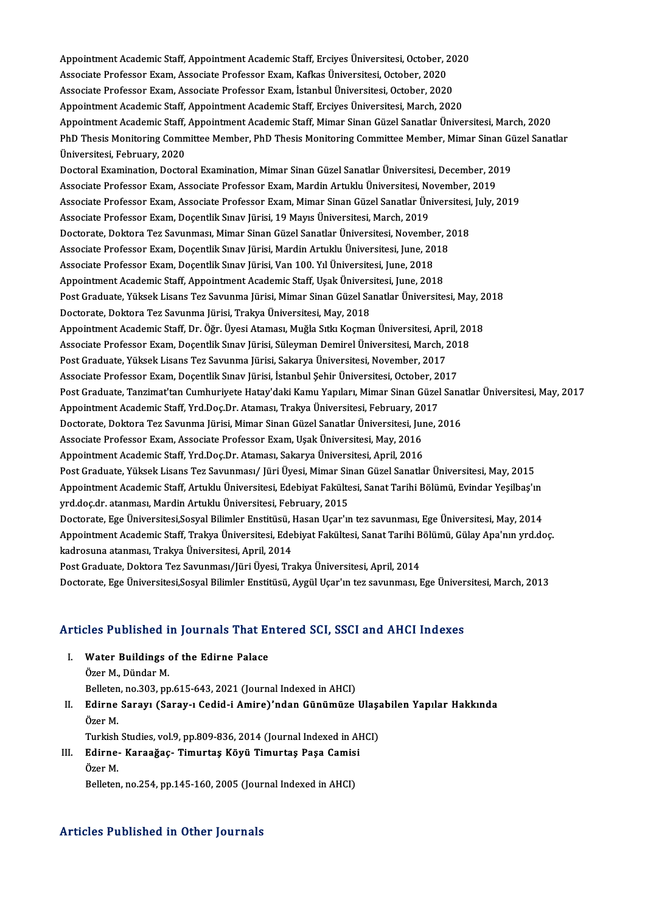Appointment Academic Staff, Appointment Academic Staff, Erciyes Üniversitesi, October, 2020<br>Assesiste Prefessor Evam, Assesiste Prefessor Evam, Kaflas Üniversitesi, October, 2020 Appointment Academic Staff, Appointment Academic Staff, Erciyes Üniversitesi, October, 2<br>Associate Professor Exam, Associate Professor Exam, Kafkas Üniversitesi, October, 2020<br>Associate Professor Eyam, Associate Professor Appointment Academic Staff, Appointment Academic Staff, Erciyes Üniversitesi, October, 20<br>Associate Professor Exam, Associate Professor Exam, Kafkas Üniversitesi, October, 2020<br>Associate Professor Exam, Associate Professor Associate Professor Exam, Associate Professor Exam, Kafkas Üniversitesi, October, 2020<br>Associate Professor Exam, Associate Professor Exam, İstanbul Üniversitesi, October, 2020<br>Appointment Academic Staff, Appointment Academ Associate Professor Exam, Associate Professor Exam, İstanbul Üniversitesi, October, 2020<br>Appointment Academic Staff, Appointment Academic Staff, Erciyes Üniversitesi, March, 2020<br>Appointment Academic Staff, Appointment Aca Appointment Academic Staff, Appointment Academic Staff, Erciyes Üniversitesi, March, 2020<br>Appointment Academic Staff, Appointment Academic Staff, Mimar Sinan Güzel Sanatlar Üniversitesi, March, 2020<br>PhD Thesis Monitoring C Appointment Academic Staff,<br>PhD Thesis Monitoring Comn<br>Üniversitesi, February, 2020<br>Poctoral Examination, Doctor PhD Thesis Monitoring Committee Member, PhD Thesis Monitoring Committee Member, Mimar Sinan Gü<br>Üniversitesi, February, 2020<br>Doctoral Examination, Doctoral Examination, Mimar Sinan Güzel Sanatlar Üniversitesi, December, 201 Üniversitesi, February, 2020<br>Doctoral Examination, Doctoral Examination, Mimar Sinan Güzel Sanatlar Üniversitesi, December, 2019<br>Associate Professor Exam, Associate Professor Exam, Mardin Artuklu Üniversitesi, November, 20 Doctoral Examination, Doctoral Examination, Mimar Sinan Güzel Sanatlar Üniversitesi, December, 2019<br>Associate Professor Exam, Associate Professor Exam, Mardin Artuklu Üniversitesi, November, 2019<br>Associate Professor Exam, Associate Professor Exam, Associate Professor Exam, Mardin Artuklu Üniversitesi, No<br>Associate Professor Exam, Associate Professor Exam, Mimar Sinan Güzel Sanatlar Ün<br>Associate Professor Exam, Doçentlik Sınav Jürisi, 19 May Associate Professor Exam, Associate Professor Exam, Mimar Sinan Güzel Sanatlar Üniversitesi,<br>Associate Professor Exam, Doçentlik Sınav Jürisi, 19 Mayıs Üniversitesi, March, 2019<br>Doctorate, Doktora Tez Savunması, Mimar Sina Associate Professor Exam, Doçentlik Sınav Jürisi, 19 Mayıs Üniversitesi, March, 2019<br>Doctorate, Doktora Tez Savunması, Mimar Sinan Güzel Sanatlar Üniversitesi, November, 2018<br>Associate Professor Exam, Doçentlik Sınav Jüris Doctorate, Doktora Tez Savunması, Mimar Sinan Güzel Sanatlar Üniversitesi, Novembe<br>Associate Professor Exam, Doçentlik Sınav Jürisi, Mardin Artuklu Üniversitesi, June, 20<br>Associate Professor Exam, Doçentlik Sınav Jürisi, V Associate Professor Exam, Doçentlik Sınav Jürisi, Mardin Artuklu Üniversitesi, June, 2018<br>Associate Professor Exam, Doçentlik Sınav Jürisi, Van 100. Yıl Üniversitesi, June, 2018<br>Appointment Academic Staff, Appointment Acad Associate Professor Exam, Doçentlik Sınav Jürisi, Van 100. Yıl Üniversitesi, June, 2018<br>Appointment Academic Staff, Appointment Academic Staff, Uşak Üniversitesi, June, 2018<br>Post Graduate, Yüksek Lisans Tez Savunma Jürisi, Appointment Academic Staff, Appointment Academic Staff, Uşak Üniversitesi, June, 2018<br>Post Graduate, Yüksek Lisans Tez Savunma Jürisi, Mimar Sinan Güzel Sanatlar Üniversitesi, May, 2<br>Doctorate, Doktora Tez Savunma Jürisi, Post Graduate, Yüksek Lisans Tez Savunma Jürisi, Mimar Sinan Güzel Sanatlar Üniversitesi, May, 2<br>Doctorate, Doktora Tez Savunma Jürisi, Trakya Üniversitesi, May, 2018<br>Appointment Academic Staff, Dr. Öğr. Üyesi Ataması, Muğ Doctorate, Doktora Tez Savunma Jürisi, Trakya Üniversitesi, May, 2018<br>Appointment Academic Staff, Dr. Öğr. Üyesi Ataması, Muğla Sıtkı Koçman Üniversitesi, April, 20<br>Associate Professor Exam, Doçentlik Sınav Jürisi, Süleyma Appointment Academic Staff, Dr. Öğr. Üyesi Ataması, Muğla Sıtkı Koçman Üniversitesi, Apr<br>Associate Professor Exam, Doçentlik Sınav Jürisi, Süleyman Demirel Üniversitesi, March, 2<br>Post Graduate, Yüksek Lisans Tez Savunma Jü Associate Professor Exam, Doçentlik Sınav Jürisi, Süleyman Demirel Üniversitesi, March, 201<br>Post Graduate, Yüksek Lisans Tez Savunma Jürisi, Sakarya Üniversitesi, November, 2017<br>Associate Professor Exam, Doçentlik Sınav Jü Post Graduate, Yüksek Lisans Tez Savunma Jürisi, Sakarya Üniversitesi, November, 2017<br>Associate Professor Exam, Doçentlik Sınav Jürisi, İstanbul Şehir Üniversitesi, October, 2017<br>Post Graduate, Tanzimat'tan Cumhuriyete Hat Associate Professor Exam, Doçentlik Sınav Jürisi, İstanbul Şehir Üniversitesi, October, 20<br>Post Graduate, Tanzimat'tan Cumhuriyete Hatay'daki Kamu Yapıları, Mimar Sinan Güzel<br>Appointment Academic Staff, Yrd.Doç.Dr. Ataması Post Graduate, Tanzimat'tan Cumhuriyete Hatay'daki Kamu Yapıları, Mimar Sinan Güzel Sana<br>Appointment Academic Staff, Yrd.Doç.Dr. Ataması, Trakya Üniversitesi, February, 2017<br>Doctorate, Doktora Tez Savunma Jürisi, Mimar Sin Appointment Academic Staff, Yrd.Doç.Dr. Ataması, Trakya Üniversitesi, February, 20<br>Doctorate, Doktora Tez Savunma Jürisi, Mimar Sinan Güzel Sanatlar Üniversitesi, Jul<br>Associate Professor Exam, Associate Professor Exam, Uşa Doctorate, Doktora Tez Savunma Jürisi, Mimar Sinan Güzel Sanatlar Üniversitesi, June, 2016<br>Associate Professor Exam, Associate Professor Exam, Uşak Üniversitesi, May, 2016<br>Appointment Academic Staff, Yrd.Doç.Dr. Ataması, S Post Graduate, Yüksek Lisans Tez Savunması/ Jüri Üyesi, Mimar Sinan Güzel Sanatlar Üniversitesi, May, 2015 Appointment Academic Staff, Yrd.Doç.Dr. Ataması, Sakarya Üniversitesi, April, 2016<br>Post Graduate, Yüksek Lisans Tez Savunması/ Jüri Üyesi, Mimar Sinan Güzel Sanatlar Üniversitesi, May, 2015<br>Appointment Academic Staff, Artu yrd.doç.dr. atanması, Mardin Artuklu Üniversitesi, February, 2015<br>Doctorate, Ege Üniversitesi,Sosyal Bilimler Enstitüsü, Hasan Uçar'ın tez savunması, Ege Üniversitesi, May, 2014 Appointment Academic Staff, Artuklu Üniversitesi, Edebiyat Fakültesi, Sanat Tarihi Bölümü, Evindar Yeşilbaş'ın<br>yrd.doç.dr. atanması, Mardin Artuklu Üniversitesi, February, 2015<br>Doctorate, Ege Üniversitesi,Sosyal Bilimler E yrd.doç.dr. atanması, Mardin Artuklu Üniversitesi, February, 2015<br>Doctorate, Ege Üniversitesi,Sosyal Bilimler Enstitüsü, Hasan Uçar'ın tez savunması, Ege Üniversitesi, May, 2014<br>Appointment Academic Staff, Trakya Üniversit kadrosuna atanması, Trakya Üniversitesi, April, 2014<br>Post Graduate, Doktora Tez Savunması/Jüri Üyesi, Trakya Üniversitesi, April, 2014 Appointment Academic Staff, Trakya Üniversitesi, Edebiyat Fakültesi, Sanat Tarihi B<br>kadrosuna atanması, Trakya Üniversitesi, April, 2014<br>Post Graduate, Doktora Tez Savunması/Jüri Üyesi, Trakya Üniversitesi, April, 2014<br>Dos Doctorate, Ege Üniversitesi,Sosyal Bilimler Enstitüsü, Aygül Uçar'ın tez savunması, Ege Üniversitesi, March, 2013

# Doctorate, Ege Universitesi,Sosyal Billmier Enstitusu, Aygul Uçar in tez savunması, Ege Univer<br>Articles Published in Journals That Entered SCI, SSCI and AHCI Indexes

- **Tricles Published in Journals That End**<br>I. Water Buildings of the Edirne Palace I. Water Buildings of the Edirne Palace<br>Özer M., Dündar M. Belleten, no.303, pp.615-643, 2021 (Journal Indexed in AHCI)
- Özer M., Dündar M.<br>Belleten, no.303, pp.615-643, 2021 (Journal Indexed in AHCI)<br>II. Edirne Sarayı (Saray-ı Cedid-i Amire)'ndan Günümüze Ulaşabilen Yapılar Hakkında<br>Özer M Belleten<br><mark>Edirne</mark><br>Özer M. Edirne Sarayı (Saray-ı Cedid-i Amire)'ndan Günümüze Ulaşa<br>Özer M.<br>Turkish Studies, vol.9, pp.809-836, 2014 (Journal Indexed in AHCI)<br>Edinne, Karaağas, Timuntes Köyü Timuntes Basa Camisi Özer M.<br>Turkish Studies, vol.9, pp.809-836, 2014 (Journal Indexed in Al<br>III. Edirne- Karaağaç- Timurtaş Köyü Timurtaş Paşa Camisi
- Turkish<br>**Edirne**<br>Özer M.<br><sup>Relleter</sub></sup> Edirne- Karaağaç- Timurtaş Köyü Timurtaş Paşa Camisi<br>Özer M.<br>Belleten, no.254, pp.145-160, 2005 (Journal Indexed in AHCI)

# Belleten, no.254, pp.145-160, 2005 (Journal Indexed in AHCI)<br>Articles Published in Other Journals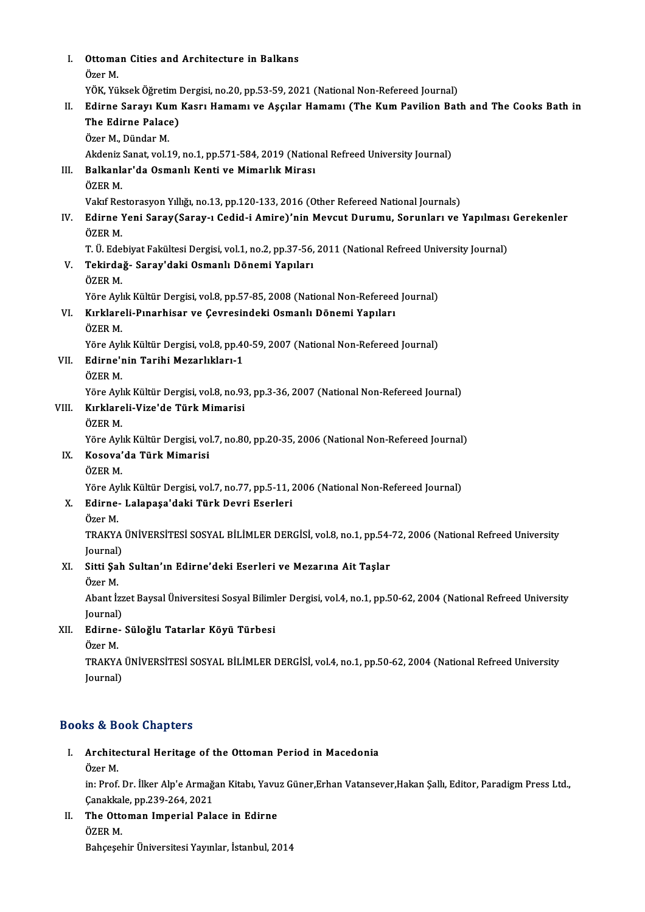I. Ottoman Cities and Architecture in Balkans<br>Öser M Ottoma<br>Özer M.<br><sup>VÖV. Vö</sup> Ottoman Cities and Architecture in Balkans<br>Özer M.<br>YÖK, Yüksek Öğretim Dergisi, no.20, pp.53-59, 2021 (National Non-Refereed Journal)<br>Edinne Sanaw Kum Kaan: Hamamı ve Assulan Hamamı (The Kum Bavilian Bat Özer M.<br>YÖK, Yüksek Öğretim Dergisi, no.20, pp.53-59, 2021 (National Non-Refereed Journal)<br>II. Edirne Sarayı Kum Kasrı Hamamı ve Aşçılar Hamamı (The Kum Pavilion Bath and The Cooks Bath in<br>The Edirne Palase) YÖK, Yüksek Öğretim l<br>Edirne Sarayı Kum<br>The Edirne Palace)<br>Özer M. Dünder M Edirne Sarayı Kul<br>The Edirne Palace<br>Özer M., Dündar M.<br>Akdoniz Sanat vol 1 The Edirne Palace)<br>Özer M., Dündar M.<br>Akdeniz Sanat, vol.19, no.1, pp.571-584, 2019 (National Refreed University Journal)<br>Palkanlar'da Osmanlı Kanti ve Mimarlık Mirası Özer M., Dündar M.<br>Akdeniz Sanat, vol.19, no.1, pp.571-584, 2019 (Natior<br>III. Balkanlar'da Osmanlı Kenti ve Mimarlık Mirası<br>ÖZER M. Akdeniz<br><mark>Balkanl</mark>:<br>ÖZER M.<br>Valaf Ber Balkanlar'da Osmanlı Kenti ve Mimarlık Mirası<br>ÖZER M.<br>Vakıf Restorasyon Yıllığı, no.13, pp.120-133, 2016 (Other Refereed National Journals)<br>Edinne Veni Sarav(Sarav ı Çedid i Amire)'nin Moyeut Dunumu, Sarunları ve i ÖZER M.<br>Vakıf Restorasyon Yıllığı, no.13, pp.120-133, 2016 (Other Refereed National Journals)<br>IV. Edirne Yeni Saray(Saray-ı Cedid-i Amire)'nin Mevcut Durumu, Sorunları ve Yapılması Gerekenler<br>ÖZER M Vakıf Res<br>**Edirne**<br>ÖZER M.<br>T. Ü. Ede Edirne Yeni Saray(Saray-ı Cedid-i Amire)'nin Mevcut Durumu, Sorunları ve Yapılması<br>ÖZER M.<br>T. Ü. Edebiyat Fakültesi Dergisi, vol.1, no.2, pp.37-56, 2011 (National Refreed University Journal)<br>Tekindağ, Saray'daki Osmanlı Dö ÖZER M.<br>T. Ü. Edebiyat Fakültesi Dergisi, vol.1, no.2, pp.37-56,<br>V. Tekirdağ- Saray'daki Osmanlı Dönemi Yapıları<br>ÖZEP M T. Ü. Ede<br><mark>Tekirda</mark><br>ÖZER M.<br><sup>Väre Arl</sub></sup> Tekirdağ- Saray'daki Osmanlı Dönemi Yapıları<br>ÖZER M.<br>Yöre Aylık Kültür Dergisi, vol.8, pp.57-85, 2008 (National Non-Refereed Journal)<br>Kultlanali Bunarhisar ve Couresindaki Osmanlı Dönemi Yapıları ÖZER M.<br>Yöre Aylık Kültür Dergisi, vol.8, pp.57-85, 2008 (National Non-Refereed<br>VI. Kırklareli-Pınarhisar ve Çevresindeki Osmanlı Dönemi Yapıları<br>ÖZER M. Yöre Ayl<br><mark>Kırklare</mark><br>ÖZER M.<br><sup>Vöre Ayl</sup> Kırklareli-Pınarhisar ve Çevresindeki Osmanlı Dönemi Yapıları<br>ÖZER M.<br>Yöre Aylık Kültür Dergisi, vol.8, pp.40-59, 2007 (National Non-Refereed Journal)<br>Edinne'nin Teribi Mererlıkları 1 VII. Edirne'nin Tarihi Mezarlıkları-1<br>ÖZER M. Yöre Ayl<br><mark>Edirne'ı</mark><br>ÖZER M.<br><sup>Vöro Ayl</sup> Yöre Aylık Kültür Dergisi, vol.8, no.93, pp.3-36, 2007 (National Non-Refereed Journal) ÖZER M.<br>Yöre Aylık Kültür Dergisi, vol.8, no.93<br>VIII. Kırklareli-Vize'de Türk Mimarisi<br>ÖZEP M Yöre Ayl<br><mark>Kırklare</mark><br>ÖZER M.<br><sup>Vöre Ayl</sup> Kırklareli-Vize'de Türk Mimarisi<br>ÖZER M.<br>Yöre Aylık Kültür Dergisi, vol.7, no.80, pp.20-35, 2006 (National Non-Refereed Journal)<br>Kosova'da Türk Mimarisi ÖZER M.<br>Yöre Aylık Kültür Dergisi, vol<br>IX. Kosova'da Türk Mimarisi<br>ÖZER M. Yöre Ayl<br><mark>Kosova'</mark><br>ÖZER M.<br><sup>Vöro</sup> Ayl Yöre Aylık Kültür Dergisi, vol.7, no.77, pp.5-11, 2006 (National Non-Refereed Journal) ÖZER M.<br>Yöre Aylık Kültür Dergisi, vol.7, no.77, pp.5-11, 2<br>X. Edirne- Lalapaşa'daki Türk Devri Eserleri<br>Özer M Yöre Ay<br>**Edirne**<br>Özer M.<br>TPA*V*YA Edirne- Lalapaşa'daki Türk Devri Eserleri<br>Özer M.<br>TRAKYA ÜNİVERSİTESİ SOSYAL BİLİMLER DERGİSİ, vol.8, no.1, pp.54-72, 2006 (National Refreed University<br>Journal) Özer M<br>TRAKYA<br>Journal)<br>Sitti Sab TRAKYA ÜNİVERSİTESİ SOSYAL BİLİMLER DERGİSİ, vol.8, no.1, pp.54-<br>Journal)<br>XI. Sitti Şah Sultan'ın Edirne'deki Eserleri ve Mezarına Ait Taşlar<br>Özen M Journal)<br><mark>Sitti Şa</mark><br>Özer M.<br>Abent <sup>İr</sup> Sitti Şah Sultan'ın Edirne'deki Eserleri ve Mezarına Ait Taşlar<br>Özer M.<br>Abant İzzet Baysal Üniversitesi Sosyal Bilimler Dergisi, vol.4, no.1, pp.50-62, 2004 (National Refreed University Özer M.<br>Abant İzz<br>Journal)<br>Edinne Abant İzzet Baysal Üniversitesi Sosyal Biliml<br>Journal)<br>XII. Edirne- Süloğlu Tatarlar Köyü Türbesi<br>Özer M Journal)<br><mark>Edirne</mark><br>Özer M.<br>TPAKYA Edirne- Süloğlu Tatarlar Köyü Türbesi<br>Özer M.<br>TRAKYA ÜNİVERSİTESİ SOSYAL BİLİMLER DERGİSİ, vol.4, no.1, pp.50-62, 2004 (National Refreed University<br>Journal) Özer M.<br>TRAKYA<br>Journal)

# Journal)<br>Books & Book Chapters

- ooks & Book Chapters<br>I. Architectural Heritage of the Ottoman Period in Macedonia<br>Öser M Archite<br>Archite<br>Özer M.
	-

Architectural Heritage of the Ottoman Period in Macedonia<br>Özer M.<br>in: Prof. Dr. İlker Alp'e Armağan Kitabı, Yavuz Güner,Erhan Vatansever,Hakan Şallı, Editor, Paradigm Press Ltd Özer M.<br>in: Prof. Dr. İlker Alp'e Armağı<br>Çanakkale, pp.239-264, 2021<br>The Ottoman Imnorial Bala in: Prof. Dr. İlker Alp'e Armağan Kitabı, Yavu<br>Çanakkale, pp.239-264, 2021<br>II. The Ottoman Imperial Palace in Edirne<br>ÖZEP M

Çanakkal<br>**The Otto**<br>ÖZER M. ÖZER M.<br>Bahçeşehir Üniversitesi Yayınlar, İstanbul, 2014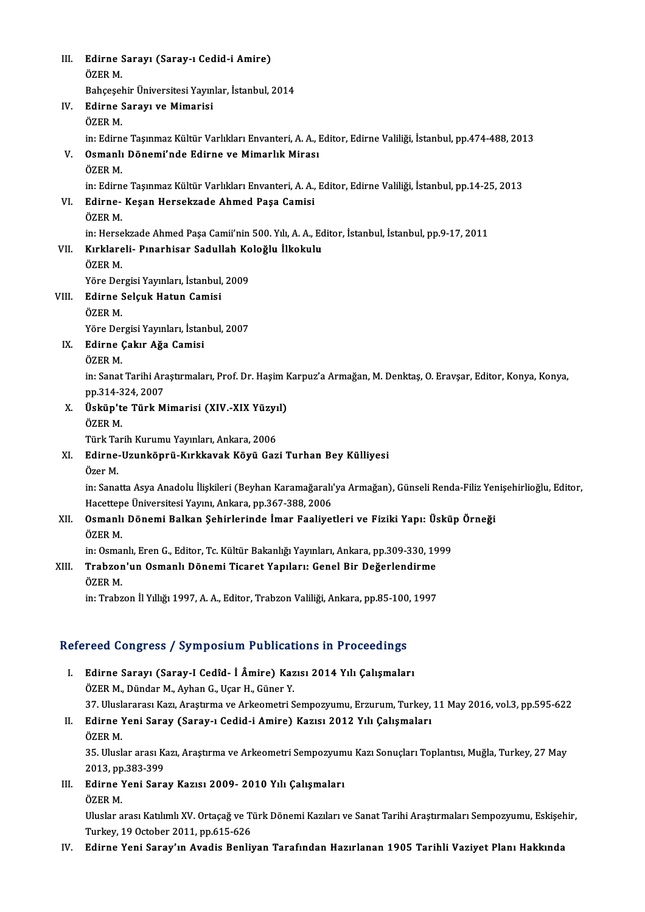| III.  | Edirne Sarayı (Saray-ı Cedid-i Amire)                                                                              |
|-------|--------------------------------------------------------------------------------------------------------------------|
|       | ÖZER M.                                                                                                            |
|       | Bahçeşehir Üniversitesi Yayınlar, İstanbul, 2014                                                                   |
| IV.   | Edirne Sarayı ve Mimarisi                                                                                          |
|       | ÖZER M.                                                                                                            |
|       | in: Edirne Taşınmaz Kültür Varlıkları Envanteri, A. A., Editor, Edirne Valiliği, İstanbul, pp.474-488, 2013        |
| V.    | Osmanlı Dönemi'nde Edirne ve Mimarlık Mirası                                                                       |
|       | ÖZER M.                                                                                                            |
|       | in: Edirne Taşınmaz Kültür Varlıkları Envanteri, A. A., Editor, Edirne Valiliği, İstanbul, pp.14-25, 2013          |
| VI.   | Edirne- Keşan Hersekzade Ahmed Paşa Camisi                                                                         |
|       | ÖZER M                                                                                                             |
|       | in: Hersekzade Ahmed Paşa Camii'nin 500. Yılı, A. A., Editor, İstanbul, İstanbul, pp.9-17, 2011                    |
| VII.  | Kırklareli- Pınarhisar Sadullah Koloğlu İlkokulu                                                                   |
|       | ÖZER M.                                                                                                            |
|       | Yöre Dergisi Yayınları, İstanbul, 2009                                                                             |
| VIII. | Edirne Selçuk Hatun Camisi                                                                                         |
|       | ÖZER M.                                                                                                            |
|       | Yöre Dergisi Yayınları, İstanbul, 2007                                                                             |
| IX.   | Edirne Çakır Ağa Camisi                                                                                            |
|       | ÖZER M.                                                                                                            |
|       | in: Sanat Tarihi Araştırmaları, Prof. Dr. Haşim Karpuz'a Armağan, M. Denktaş, O. Eravşar, Editor, Konya, Konya,    |
|       | pp 314-324, 2007                                                                                                   |
| X.    | Üsküp'te Türk Mimarisi (XIV.-XIX Yüzyıl)                                                                           |
|       | ÖZER M                                                                                                             |
|       | Türk Tarih Kurumu Yayınları, Ankara, 2006                                                                          |
| XI.   | Edirne-Uzunköprü-Kırkkavak Köyü Gazi Turhan Bey Külliyesi                                                          |
|       | Özer M.                                                                                                            |
|       | in: Sanatta Asya Anadolu İlişkileri (Beyhan Karamağaralı'ya Armağan), Günseli Renda-Filiz Yenişehirlioğlu, Editor, |
|       | Hacettepe Üniversitesi Yayını, Ankara, pp.367-388, 2006                                                            |
| XII.  | Osmanlı Dönemi Balkan Şehirlerinde İmar Faaliyetleri ve Fiziki Yapı: Üsküp Örneği                                  |
|       | ÖZER M                                                                                                             |
|       | in: Osmanlı, Eren G., Editor, Tc. Kültür Bakanlığı Yayınları, Ankara, pp.309-330, 1999                             |
| XIII. | Trabzon'un Osmanlı Dönemi Ticaret Yapıları: Genel Bir Değerlendirme                                                |
|       | ÖZER M.                                                                                                            |
|       | in: Trabzon İl Yıllığı 1997, A. A., Editor, Trabzon Valiliği, Ankara, pp.85-100, 1997                              |
|       |                                                                                                                    |

## Refereed Congress / Symposium Publications in Proceedings

- efereed Congress / Symposium Publications in Proceedings<br>I. Edirne Sarayı (Saray-I Cedîd- İ Âmire) Kazısı 2014 Yılı Çalışmaları<br>ÖZEP M. Dündar M. Ayban C. Hear H. Güner Y Född Göngröss / Symposium i usiteut<br>Edirne Sarayı (Saray-I Cedîd- İ Âmire) Kaz<br>ÖZER M., Dündar M., Ayhan G., Uçar H., Güner Y. Edirne Sarayı (Saray-I Cedîd- İ Âmire) Kazısı 2014 Yılı Çalışmaları<br>ÖZER M., Dündar M., Ayhan G., Uçar H., Güner Y.<br>37. Uluslararası Kazı, Araştırma ve Arkeometri Sempozyumu, Erzurum, Turkey, 11 May 2016, vol.3, pp.595-622 ÖZER M., Dündar M., Ayhan G., Uçar H., Güner Y.<br>37. Uluslararası Kazı, Araştırma ve Arkeometri Sempozyumu, Erzurum, Turkey,<br>II. Edirne Yeni Saray (Saray-ı Cedid-i Amire) Kazısı 2012 Yılı Çalışmaları<br>ÖZEP M 37 Ulusl<mark>.</mark><br>**Edirne**<br>ÖZER M.<br>25 Ulusl.
- Edirne Yeni Saray (Saray-ı Cedid-i Amire) Kazısı 2012 Yılı Çalışmaları<br>ÖZER M.<br>35. Uluslar arası Kazı, Araştırma ve Arkeometri Sempozyumu Kazı Sonuçları Toplantısı, Muğla, Turkey, 27 May<br>2012.nn 282.290. ÖZER M.<br>35. Uluslar arası K.<br>2013, pp.383-399<br>Edinne Yoni Sara 2013, pp 383-399
- III. Edirne Yeni Saray Kazısı 2009-2010 Yılı Çalışmaları ÖZER M.

Edirne Yeni Saray Kazısı 2009- 2010 Yılı Çalışmaları<br>ÖZER M.<br>Uluslar arası Katılımlı XV. Ortaçağ ve Türk Dönemi Kazıları ve Sanat Tarihi Araştırmaları Sempozyumu, Eskişehir, ÖZER M.<br>Uluslar arası Katılımlı XV. Ortaçağ ve Ti<br>Turkey, 19 October 2011, pp.615-626<br>Edinne Veni Saray'ın Avadia Benli: Uluslar arası Katılımlı XV. Ortaçağ ve Türk Dönemi Kazıları ve Sanat Tarihi Araştırmaları Sempozyumu, Eskişel<br>Turkey, 19 October 2011, pp.615-626<br>IV. Edirne Yeni Saray'ın Avadis Benliyan Tarafından Hazırlanan 1905 Tari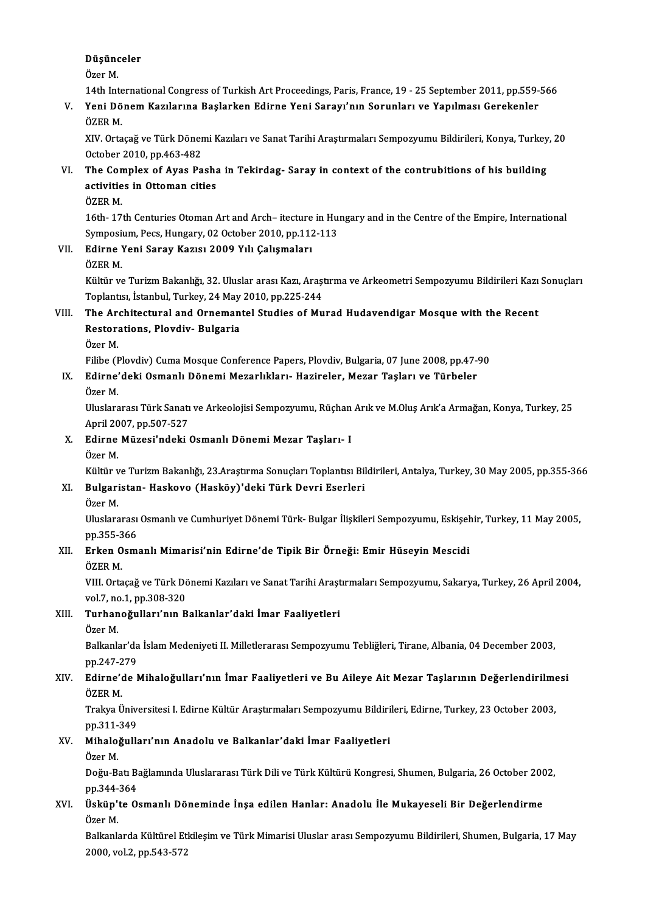# Düşünceler Düşünd<br>Özer M.<br>14th Int

Özer M.<br>14th International Congress of Turkish Art Proceedings, Paris, France, 19 - 25 September 2011, pp.559-566

# Özer M.<br>14th International Congress of Turkish Art Proceedings, Paris, France, 19 - 25 September 2011, pp.559-<br>V. Yeni Dönem Kazılarına Başlarken Edirne Yeni Sarayı'nın Sorunları ve Yapılması Gerekenler<br>ÖZER M 14th Inte<br>Yeni Dö<br>ÖZER M.<br>VIV. Orte Yeni Dönem Kazılarına Başlarken Edirne Yeni Sarayı'nın Sorunları ve Yapılması Gerekenler<br>ÖZER M.<br>XIV. Ortaçağ ve Türk Dönemi Kazıları ve Sanat Tarihi Araştırmaları Sempozyumu Bildirileri, Konya, Turkey, 20<br>Ostabar 2010 pp.

ÖZER M.<br>XIV. Ortaçağ ve Türk Döner<br>October 2010, pp.463-482<br>The Compley of Ayas Ba XIV. Ortaçağ ve Türk Dönemi Kazıları ve Sanat Tarihi Araştırmaları Sempozyumu Bildirileri, Konya, Turkey<br>October 2010, pp.463-482<br>VI. The Complex of Ayas Pasha in Tekirdag- Saray in context of the contrubitions of his buil

# October 2010, pp.463-482<br>The Complex of Ayas Pasha<br>activities in Ottoman cities<br>ÖZEP M The Con<br>activitie<br>ÖZER M.<br>16th. 17

activities in Ottoman cities<br>ÖZER M.<br>16th-17th Centuries Otoman Art and Arch– itecture in Hungary and in the Centre of the Empire, International<br>Symposium, Pess. Hungary, 02.Qsteber 2010, np.112.112. ÖZER M.<br>16th- 17th Centuries Otoman Art and Arch– itecture in Hum<br>Symposium, Pecs, Hungary, 02 October 2010, pp.112-113<br>Edinne Veni Saray Karya; 2009, Vil: Calismalar; 16th-17th Centuries Otoman Art and Arch-itecture<br>Symposium, Pecs, Hungary, 02 October 2010, pp.112<br>VII. Edirne Yeni Saray Kazısı 2009 Yılı Çalışmaları<br>ÖZEP M Symposi<br>**Edirne**<br>ÖZER M.<br>Kültür ve

- -

Edirne Yeni Saray Kazısı 2009 Yılı Çalışmaları<br>ÖZER M.<br>Kültür ve Turizm Bakanlığı, 32. Uluslar arası Kazı, Araştırma ve Arkeometri Sempozyumu Bildirileri Kazı Sonuçları ÖZER M.<br>Kültür ve Turizm Bakanlığı, 32. Uluslar arası Kazı, Araşı<br>Toplantısı, İstanbul, Turkey, 24 May 2010, pp.225-244<br>The Arshitestural and Ornemantal Studies of Mu Kültür ve Turizm Bakanlığı, 32. Uluslar arası Kazı, Araştırma ve Arkeometri Sempozyumu Bildirileri Kazı<br>Toplantısı, İstanbul, Turkey, 24 May 2010, pp.225-244<br>VIII. The Architectural and Ornemantel Studies of Murad Huda

## Toplantısı, İstanbul, Turkey, 24 May 2010, pp.225-244<br>The Architectural and Ornemantel Studies of Mu<br>Restorations, Plovdiv- Bulgaria<br>Özer M. The Are<br>Restora<br>Özer M. Restorations, Plovdiv- Bulgaria<br>Özer M.<br>Filibe (Plovdiv) Cuma Mosque Conference Papers, Plovdiv, Bulgaria, 07 June 2008, pp.47-90<br>Edinne'deki Osmanlı Dönemi Moranlıkları, Herineler, Maran Tesları ve Türbeler

IX. Edirne'deki Osmanlı Dönemi Mezarlıkları- Hazireler, Mezar Taşları ve Türbeler<br>Özer M. Filibe (F<br>**Edirne'**<br>Özer M.<br>Uluslara

Uluslararası Türk Sanatı ve Arkeolojisi Sempozyumu, Rüçhan Arık ve M.Oluş Arık'a Armağan, Konya, Turkey, 25 Özer M.<br>Uluslararası Türk Sanatı<br>April 2007, pp.507-527<br>Edirne Müresi'ndeki f

- X. Edirne Müzesi'ndeki Osmanlı Dönemi Mezar Taşları- I<br>Özer M. April 20<br>**Edirne**<br>Özer M.<br>Kültür v
	-

Kültür ve Turizm Bakanlığı, 23.Araştırma Sonuçları Toplantısı Bildirileri, Antalya, Turkey, 30 May 2005, pp.355-366

# Özer M.<br>Kültür ve Turizm Bakanlığı, 23.Araştırma Sonuçları Toplantısı Bil<br>XI. Bulgaristan- Haskovo (Hasköy)'deki Türk Devri Eserleri<br>Özer M Kültür v<br><mark>Bulgar</mark>i<br>Özer M.

Bulgaristan- Haskovo (Hasköy)'deki Türk Devri Eserleri<br>Özer M.<br>Uluslararası Osmanlı ve Cumhuriyet Dönemi Türk- Bulgar İlişkileri Sempozyumu, Eskişehir, Turkey, 11 May 2005,<br>nn <sup>2EE 266</sup> Özer M.<br>Uluslararası<br>pp.355-366<br>Erker Osm Uluslararası Osmanlı ve Cumhuriyet Dönemi Türk- Bulgar İlişkileri Sempozyumu, Eskişel<br>pp.355-366<br>XII. Erken Osmanlı Mimarisi'nin Edirne'de Tipik Bir Örneği: Emir Hüseyin Mescidi<br>ÖZER M

# pp.355-3<br><mark>Erken O</mark><br>ÖZER M.<br><sup>VIII</sup>-Orte

Erken Osmanlı Mimarisi'nin Edirne'de Tipik Bir Örneği: Emir Hüseyin Mescidi<br>ÖZER M.<br>VIII. Ortaçağ ve Türk Dönemi Kazıları ve Sanat Tarihi Araştırmaları Sempozyumu, Sakarya, Turkey, 26 April 2004, ÖZER M.<br>VIII. Ortaçağ ve Türk Dö<br>vol.7, no.1, pp.308-320<br>Turbaneğulleri'nin B vol 7, no 1, pp 308-320

## XIII. Turhanoğulları'nın Balkanlar'daki İmar Faaliyetleri<br>Özer M.

**Turhanoğulları'nın Balkanlar'daki İmar Faaliyetleri**<br>Özer M.<br>Balkanlar'da İslam Medeniyeti II. Milletlerarası Sempozyumu Tebliğleri, Tirane, Albania, 04 December 2003,<br>nn 247 279 Özer M.<br>Balkanlar'da<br>pp.247-279<br>Edirno'da L Balkanlar'da İslam Medeniyeti II. Milletlerarası Sempozyumu Tebliğleri, Tirane, Albania, 04 December 2003,<br>pp.247-279<br>XIV. Edirne'de Mihaloğulları'nın İmar Faaliyetleri ve Bu Aileye Ait Mezar Taşlarının Değerlendirilmesi

# pp.247-2<br><mark>Edirne'</mark><br>ÖZER M.<br>Trakva Ü Edirne'de Mihaloğulları'nın İmar Faaliyetleri ve Bu Aileye Ait Mezar Taşlarının Değerlendirilme<br>ÖZER M.<br>Trakya Üniversitesi I. Edirne Kültür Araştırmaları Sempozyumu Bildirileri, Edirne, Turkey, 23 October 2003,<br>nn <sup>211 24</sup>

ÖZER M.<br>Trakya Ünive<br>pp.311-349<br>Mihaloğulle pp 311-349

## XV. Mihaloğulları'nın Anadolu ve Balkanlar'daki İmar Faaliyetleri<br>Özer M.

Mihaloğulları'nın Anadolu ve Balkanlar'daki İmar Faaliyetleri<br>Özer M.<br>Doğu-Batı Bağlamında Uluslararası Türk Dili ve Türk Kültürü Kongresi, Shumen, Bulgaria, 26 October 2002,<br>nn 244 264 Özer M.<br>Doğu-Batı B.<br>pp.344-364<br>Üskün'te Q. Doğu-Batı Bağlamında Uluslararası Türk Dili ve Türk Kültürü Kongresi, Shumen, Bulgaria, 26 October 200<br>1990-244-364<br>XVI. Üsküp'te Osmanlı Döneminde İnşa edilen Hanlar: Anadolu İle Mukayeseli Bir Değerlendirme<br>Özer M

# pp.344-<br><mark>Üsküp'</mark><br>Özer M.<br><sup>Rellrank</sup> Üsküp'te Osmanlı Döneminde İnşa edilen Hanlar: Anadolu İle Mukayeseli Bir Değerlendirme<br>Özer M.<br>Balkanlarda Kültürel Etkileşim ve Türk Mimarisi Uluslar arası Sempozyumu Bildirileri, Shumen, Bulgaria, 17 May<br>2000 yal 3 np 5

Özer M.<br>Balkanlarda Kültürel Et<br>2000, vol.2, pp.543-572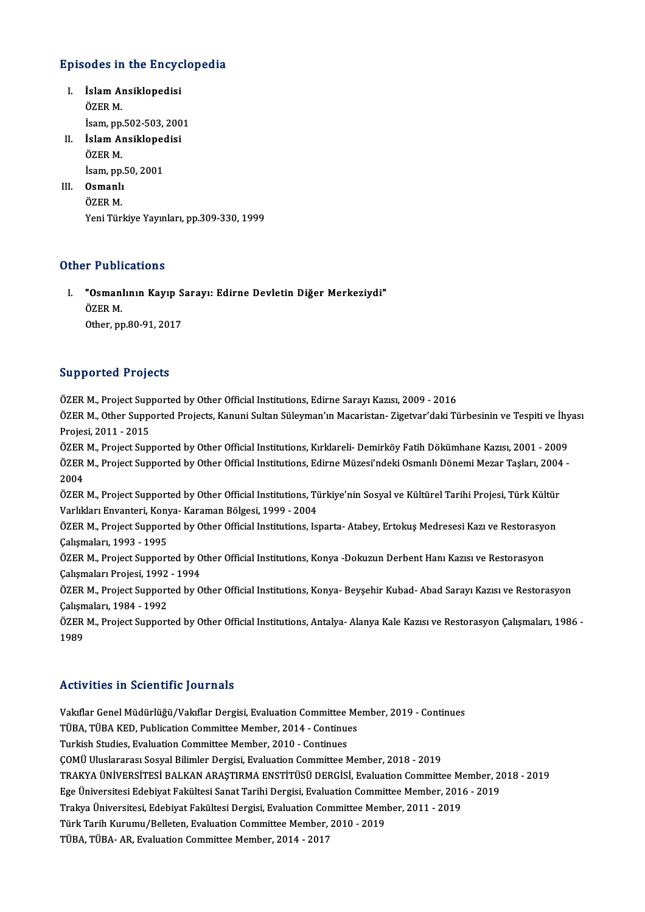# Episodes in the Encyclopedia

- pisodes in the Encyc<br>I. İslam Ansiklopedisi<br>ÖZEP M I. İslam Ansiklopedisi<br>ÖZER M. İsam,pp.502-503,2001 ÖZER M.<br>İsam, pp.502-503, 200<br>II. İslam Ansiklopedisi<br>ÖZEP M
- İsam, pp.<br>İslam Al<br>ÖZER M. İslam Ansiklopeo<br>ÖZER M.<br>İsam, pp.50, 2001<br>Qamanlı İsam, pp 50, 2001

ÖZER M.<br>İsam, pp.!<br>III. **Osmanlı**<br>ÖZER M. Yeni Türkiye Yayınları, pp.309-330, 1999

## Other Publications

ther Publications<br>I. "Osmanlının Kayıp Sarayı: Edirne Devletin Diğer Merkeziydi"<br>ÖZER M Trasis<br>"Osman"<br>ÖZER M. "Osmanlının Kayıp S<br>ÖZER M.<br>Other, pp.80-91, 2017 0ther, pp.80-91, 2017<br>Supported Projects

Supported Projects<br>ÖZER M., Project Supported by Other Official Institutions, Edirne Sarayı Kazısı, 2009 - 2016<br>ÖZER M. Other Supported Projects, Kapuni Sultan Süleymon'ın Masaristan, Zisetren'deki Tü

ÖZER M., Project Supported by Other Official Institutions, Edirne Sarayı Kazısı, 2009 - 2016<br>ÖZER M., Other Supported Projects, Kanuni Sultan Süleyman'ın Macaristan- Zigetvar'daki Türbesinin ve Tespiti ve İhyası<br>Projesi, 2 ÖZER M., Project Sup<br>ÖZER M., Other Suppe<br>Projesi, 2011 - 2015<br>ÖZEP M., Project Sup ÖZER M., Other Supported Projects, Kanuni Sultan Süleyman'ın Macaristan- Zigetvar'daki Türbesinin ve Tespiti ve İhy<br>Projesi, 2011 - 2015<br>ÖZER M., Project Supported by Other Official Institutions, Kırklareli- Demirköy Fatih

Projesi, 2011 - 2015<br>ÖZER M., Project Supported by Other Official Institutions, Kırklareli- Demirköy Fatih Dökümhane Kazısı, 2001 - 2009<br>ÖZER M., Project Supported by Other Official Institutions, Edirne Müzesi'ndeki Osmanl ÖZER<br>ÖZER<br>2004<br>ÖZEP ÖZER M., Project Supported by Other Official Institutions, Edirne Müzesi'ndeki Osmanlı Dönemi Mezar Taşları, 2004<br>2004<br>ÖZER M., Project Supported by Other Official Institutions, Türkiye'nin Sosyal ve Kültürel Tarihi Projes

2004<br>ÖZER M., Project Supported by Other Official Institutions, Türkiye'nin Sosyal ve Kültürel Tarihi Projesi, Türk Kültür<br>Varlıkları Envanteri, Konya- Karaman Bölgesi, 1999 - 2004 ÖZER M., Project Supported by Other Official Institutions, Türkiye'nin Sosyal ve Kültürel Tarihi Projesi, Türk Kültür<br>Varlıkları Envanteri, Konya- Karaman Bölgesi, 1999 - 2004<br>ÖZER M., Project Supported by Other Official I

Varlıkları Envanteri, Kony<br>ÖZER M., Project Support<br>Çalışmaları, 1993 - 1995<br>ÖZEP M., Project Support ÖZER M., Project Supported by Other Official Institutions, Isparta- Atabey, Ertokuş Medresesi Kazı ve Restorasyo<br>Çalışmaları, 1993 - 1995<br>ÖZER M., Project Supported by Other Official Institutions, Konya -Dokuzun Derbent Ha

Çalışmaları, 1993 - 1995<br>ÖZER M., Project Supported by Other Official Institutions, Konya -Dokuzun Derbent Hanı Kazısı ve Restorasyon Çalışmaları Projesi, 1992 - 1994

ÖZER M., Project Supported by Other Official Institutions, Konya- Beyşehir Kubad- Abad Sarayı Kazısı ve Restorasyon<br>Çalışmaları, 1984 - 1992 ÖZER M., Project Supported by Other Official Institutions, Konya- Beyşehir Kubad- Abad Sarayı Kazısı ve Restorasyon<br>Çalışmaları, 1984 - 1992<br>ÖZER M., Project Supported by Other Official Institutions, Antalya- Alanya Kale K

Çalışm<br>ÖZER<br>1989

# Activities in Scientific Journals

Vakıflar Genel Müdürlüğü/Vakıflar Dergisi, Evaluation Committee Member, 2019 - Continues TUUR TERUS III DURENTIR JUURIMUS<br>Vakıflar Genel Müdürlüğü/Vakıflar Dergisi, Evaluation Committee Me<br>TüBA, TÜBA KED, Publication Committee Member, 2014 - Continues<br>Turkish Studies Evaluation Committee Member, 2010 - Continu Vakıflar Genel Müdürlüğü/Vakıflar Dergisi, Evaluation Committee<br>TÜBA, TÜBA KED, Publication Committee Member, 2014 - Continue<br>Turkish Studies, Evaluation Committee Member, 2010 - Continues<br>COMÜ Uluslararası Sosyal Bilimler Turkish Studies, Evaluation Committee Member, 2010 - Continues<br>COMÜ Uluslararası Sosyal Bilimler Dergisi, Evaluation Committee Member, 2018 - 2019 Turkish Studies, Evaluation Committee Member, 2010 - Continues<br>ÇOMÜ Uluslararası Sosyal Bilimler Dergisi, Evaluation Committee Member, 2018 - 2019<br>TRAKYA ÜNİVERSİTESİ BALKAN ARAŞTIRMA ENSTİTÜSÜ DERGİSİ, Evaluation Committe ÇOMÜ Uluslararası Sosyal Bilimler Dergisi, Evaluation Committee Member, 2018 - 2019<br>TRAKYA ÜNİVERSİTESİ BALKAN ARAŞTIRMA ENSTİTÜSÜ DERGİSİ, Evaluation Committee Member, 20<br>Ege Üniversitesi Edebiyat Fakültesi Sanat Tarihi D TRAKYA ÜNIVERSITESI BALKAN ARAŞTIRMA ENSTITÜSÜ DERGISI, Evaluation Committee Member, 201<br>Ege Üniversitesi Edebiyat Fakültesi Sanat Tarihi Dergisi, Evaluation Committee Member, 2010<br>Türk Tarih Kurumu (Balletan Evaluation Co Ege Üniversitesi Edebiyat Fakültesi Sanat Tarihi Dergisi, Evaluation Committee Member, 2016 - 2019<br>Trakya Üniversitesi, Edebiyat Fakültesi Dergisi, Evaluation Committee Member, 2011 - 2019<br>Türk Tarih Kurumu/Belleten, Evalu TÜBA, TÜBA- AR, Evaluation Committee Member, 2014 - 2017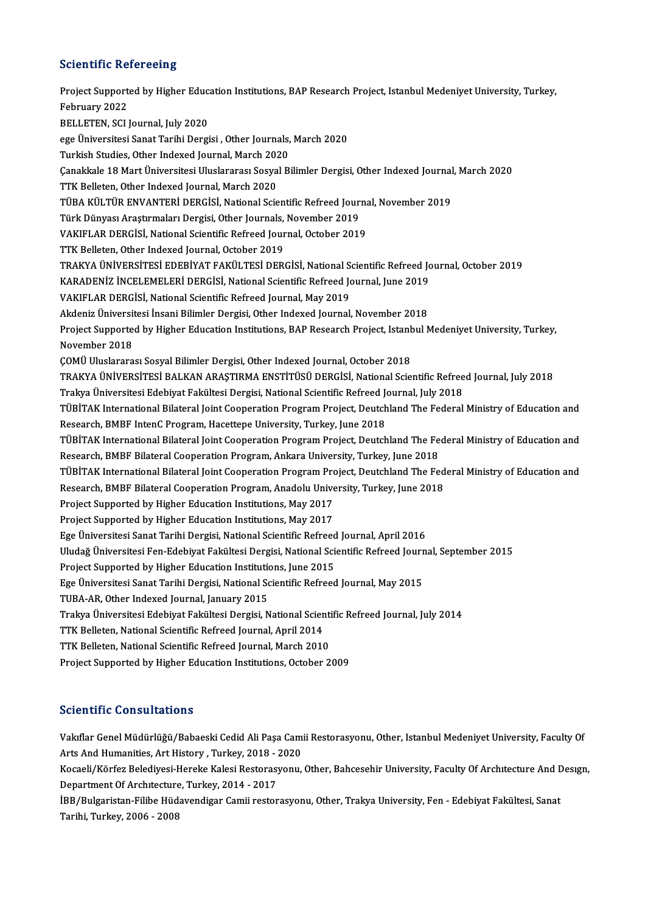## **Scientific Refereeing**

Scientific Refereeing<br>Project Supported by Higher Education Institutions, BAP Research Project, Istanbul Medeniyet University, Turkey,<br>February 2022 Project Support<br>Project Support<br>February 2022<br>PELLETEN, SCLI February 2022<br>BELLETEN, SCI Journal, July 2020 February 2022<br>BELLETEN, SCI Journal, July 2020<br>ege Üniversitesi Sanat Tarihi Dergisi , Other Journals, March 2020<br>Turkish Studies, Other Indeved Journal, March 2020 BELLETEN, SCI Journal, July 2020<br>ege Üniversitesi Sanat Tarihi Dergisi , Other Journals,<br>Turkish Studies, Other Indexed Journal, March 2020<br>Canakkala 18 Mart Üniversitesi Uluslarerası Sesual B ege Üniversitesi Sanat Tarihi Dergisi , Other Journals, March 2020<br>Turkish Studies, Other Indexed Journal, March 2020<br>Çanakkale 18 Mart Üniversitesi Uluslararası Sosyal Bilimler Dergisi, Other Indexed Journal, March 2020<br>T Turkish Studies, Other Indexed Journal, March 202<br>Çanakkale 18 Mart Üniversitesi Uluslararası Sosya<br>TTK Belleten, Other Indexed Journal, March 2020<br>TÜRA KÜLTÜR ENVANTERİ DERÇİSİ, National Saia Çanakkale 18 Mart Üniversitesi Uluslararası Sosyal Bilimler Dergisi, Other Indexed Journal<br>TTK Belleten, Other Indexed Journal, March 2020<br>TÜBA KÜLTÜR ENVANTERİ DERGİSİ, National Scientific Refreed Journal, November 2019<br>T TTK Belleten, Other Indexed Journal, March 2020<br>TÜBA KÜLTÜR ENVANTERİ DERGİSİ, National Scientific Refreed Jour<br>Türk Dünyası Araştırmaları Dergisi, Other Journals, November 2019<br>VAKIELAR DERGİSİ, National Scientific Refree TÜBA KÜLTÜR ENVANTERİ DERGİSİ, National Scientific Refreed Journa<br>Türk Dünyası Araştırmaları Dergisi, Other Journals, November 2019<br>VAKIFLAR DERGİSİ, National Scientific Refreed Journal, October 2019<br>TTK Belletan, Other In Türk Dünyası Araştırmaları Dergisi, Other Journals,<br>VAKIFLAR DERGİSİ, National Scientific Refreed Jour<br>TTK Belleten, Other Indexed Journal, October 2019<br>TRAKVA ÜNİVERSİTESİ EDERİVAT FAKÜL TESİ DER VAKIFLAR DERGİSİ, National Scientific Refreed Journal, October 2019<br>TTK Belleten, Other Indexed Journal, October 2019<br>TRAKYA ÜNİVERSİTESİ EDEBİYAT FAKÜLTESİ DERGİSİ, National Scientific Refreed Journal, October 2019<br>KARADE TTK Belleten, Other Indexed Journal, October 2019<br>TRAKYA ÜNİVERSİTESİ EDEBİYAT FAKÜLTESİ DERGİSİ, National Scientific Refreed Jo<br>KARADENİZ İNCELEMELERİ DERGİSİ, National Scientific Refreed Journal, June 2019<br>VAKIELAR DERGİ TRAKYA ÜNİVERSİTESİ EDEBİYAT FAKÜLTESİ DERGİSİ, National SARADENİZ İNCELEMELERİ DERGİSİ, National Scientific Refreed Journal,<br>VAKIFLAR DERGİSİ, National Scientific Refreed Journal, May 2019<br>Akdaniz Üniversitesi İnsani Bili KARADENİZ İNCELEMELERİ DERGİSİ, National Scientific Refreed Journal, June 2019<br>VAKIFLAR DERGİSİ, National Scientific Refreed Journal, May 2019<br>Akdeniz Üniversitesi İnsani Bilimler Dergisi, Other Indexed Journal, November 2 VAKIFLAR DERGİSİ, National Scientific Refreed Journal, May 2019<br>Akdeniz Üniversitesi İnsani Bilimler Dergisi, Other Indexed Journal, November 2018<br>Project Supported by Higher Education Institutions, BAP Research Project, I Akdeniz Üniversit<br>Project Supporte<br>November 2018<br>COMÜ Uluslarara ÇOMÜ Uluslararası Sosyal Bilimler Dergisi, Other Indexed Journal, October 2018 November 2018<br>ÇOMÜ Uluslararası Sosyal Bilimler Dergisi, Other Indexed Journal, October 2018<br>TRAKYA ÜNİVERSİTESİ BALKAN ARAŞTIRMA ENSTİTÜSÜ DERGİSİ, National Scientific Refreed Journal, July 2018<br>Tralara Üniversitesi Edebi ÇOMÜ Uluslararası Sosyal Bilimler Dergisi, Other Indexed Journal, October 2018<br>TRAKYA ÜNIVERSİTESİ BALKAN ARAŞTIRMA ENSTİTÜSÜ DERGİSİ, National Scientific Refree<br>Trakya Üniversitesi Edebiyat Fakültesi Dergisi, National Sci TRAKYA ÜNİVERSİTESİ BALKAN ARAŞTIRMA ENSTİTÜSÜ DERGİSİ, National Scientific Refreed Journal, July 2018<br>Trakya Üniversitesi Edebiyat Fakültesi Dergisi, National Scientific Refreed Journal, July 2018<br>TÜBİTAK International Bi Trakya Üniversitesi Edebiyat Fakültesi Dergisi, National Scientific Refreed J<br>TÜBİTAK International Bilateral Joint Cooperation Program Project, Deutch<br>Research, BMBF IntenC Program, Hacettepe University, Turkey, June 2018 TÜBİTAK International Bilateral Joint Cooperation Program Project, Deutchland The Federal Ministry of Education and<br>Research, BMBF IntenC Program, Hacettepe University, Turkey, June 2018<br>TÜBİTAK International Bilateral Joi Research, BMBF IntenC Program, Hacettepe University, Turkey, June 2018<br>TÜBİTAK International Bilateral Joint Cooperation Program Project, Deutchland The Fe<br>Research, BMBF Bilateral Cooperation Program, Ankara University, T TÜBİTAK International Bilateral Joint Cooperation Program Project, Deutchland The Federal Ministry of Education and<br>Research, BMBF Bilateral Cooperation Program, Ankara University, Turkey, June 2018<br>TÜBİTAK International B Research, BMBF Bilateral Cooperation Program, Ankara University, Turkey, June 2018<br>TÜBİTAK International Bilateral Joint Cooperation Program Project, Deutchland The Fed<br>Research, BMBF Bilateral Cooperation Program, Anadolu TÜBİTAK International Bilateral Joint Cooperation Program Pro<br>Research, BMBF Bilateral Cooperation Program, Anadolu Unive<br>Project Supported by Higher Education Institutions, May 2017<br>Project Supported by Higher Education I Research, BMBF Bilateral Cooperation Program, Anadolu Unive<br>Project Supported by Higher Education Institutions, May 2017<br>Project Supported by Higher Education Institutions, May 2017<br>Free Universitesi Sanat Tarihi Dergisi, Project Supported by Higher Education Institutions, May 2017<br>Ege Üniversitesi Sanat Tarihi Dergisi, National Scientific Refreed Journal, April 2016 Project Supported by Higher Education Institutions, May 2017<br>Ege Üniversitesi Sanat Tarihi Dergisi, National Scientific Refreed Journal, April 2016<br>Uludağ Üniversitesi Fen-Edebiyat Fakültesi Dergisi, National Scientific Re Ege Üniversitesi Sanat Tarihi Dergisi, National Scientific Refreed<br>Uludağ Üniversitesi Fen-Edebiyat Fakültesi Dergisi, National Sci<br>Project Supported by Higher Education Institutions, June 2015<br>Fee Üniversitesi Sanat Tarih Uludağ Üniversitesi Fen-Edebiyat Fakültesi Dergisi, National Scientific Refreed Journ<br>Project Supported by Higher Education Institutions, June 2015<br>Ege Üniversitesi Sanat Tarihi Dergisi, National Scientific Refreed Journal Project Supported by Higher Education Institutions, June 2015<br>Ege Üniversitesi Sanat Tarihi Dergisi, National Scientific Refreed Journal, May 2015<br>TUBA-AR, Other Indexed Journal, January 2015 Ege Üniversitesi Sanat Tarihi Dergisi, National Scientific Refreed Journal, May 2015<br>TUBA-AR, Other Indexed Journal, January 2015<br>Trakya Üniversitesi Edebiyat Fakültesi Dergisi, National Scientific Refreed Journal, July 20 TUBA-AR, Other Indexed Journal, January 2015<br>Trakya Üniversitesi Edebiyat Fakültesi Dergisi, National Scien<br>TTK Belleten, National Scientific Refreed Journal, April 2014<br>TTK Belleten, National Scientific Refreed Journal, M Trakya Üniversitesi Edebiyat Fakültesi Dergisi, National Scienti<br>TTK Belleten, National Scientific Refreed Journal, April 2014<br>TTK Belleten, National Scientific Refreed Journal, March 2010<br>Preject Supperted by Hisber Educa TTK Belleten, National Scientific Refreed Journal, April 2014<br>TTK Belleten, National Scientific Refreed Journal, March 2010<br>Project Supported by Higher Education Institutions, October 2009

## Scientific Consultations

Scie**ntific Consultations**<br>Vakıflar Genel Müdürlüğü/Babaeski Cedid Ali Paşa Camii Restorasyonu, Other, Istanbul Medeniyet University, Faculty Of<br>Arts And Humanities, Art History, Turkey, 2019, 2020 SSTSANDHUMANITIES<br>Vakıflar Genel Müdürlüğü/Babaeski Cedid Ali Paşa Cam<br>Arts And Humanities, Art History , Turkey, 2018 - 2020<br>Kosaali (Körfer Balediyesi Haraka Kalasi Bastarasyony) Vakıflar Genel Müdürlüğü/Babaeski Cedid Ali Paşa Camii Restorasyonu, Other, Istanbul Medeniyet University, Faculty Of<br>Arts And Humanities, Art History , Turkey, 2018 - 2020<br>Kocaeli/Körfez Belediyesi-Hereke Kalesi Restorasy

Arts And Humanities, Art History , Turkey, 2018 - 2020<br>Kocaeli/Körfez Belediyesi-Hereke Kalesi Restorasyonu, Other, Bahcesehir University, Faculty Of Architecture And Design,<br>Department Of Architecture, Turkey, 2014 - 2017

İBB/Bulgaristan-Filibe Hüdavendigar Camii restorasyonu, Other, Trakya University, Fen - Edebiyat Fakültesi, Sanat Tarihi,Turkey,2006 -2008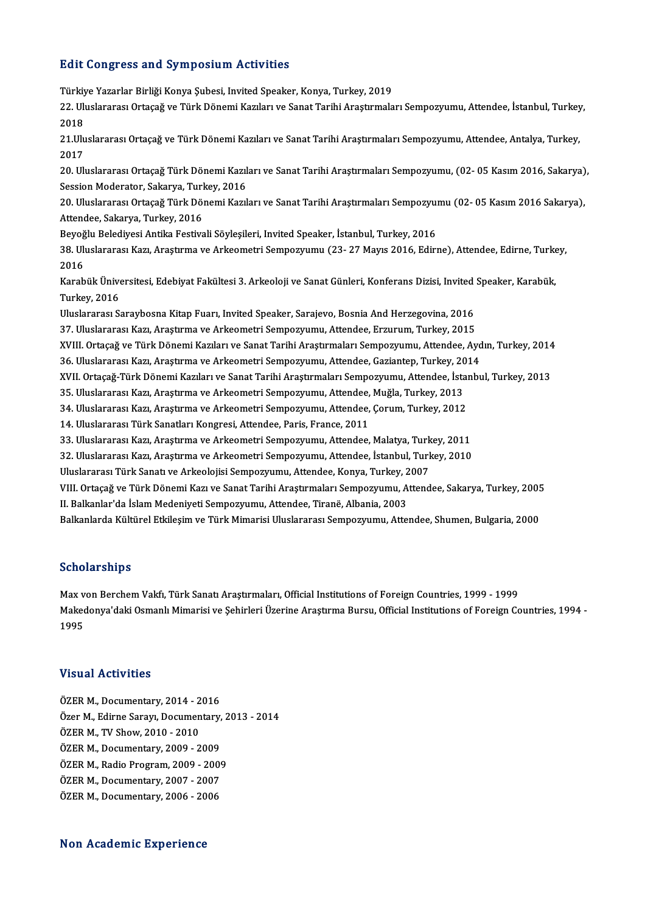### **Edit Congress and Symposium Activities**

Edit Congress and Symposium Activities<br>Türkiye Yazarlar Birliği Konya Şubesi, Invited Speaker, Konya, Turkey, 2019<br>22 Huckrenes: Ortagež ve Türk Dönemi Karıları ve Sanat Teribi Arastırmala 2016 3011§1 000 dira bij in poorum Trocrvicios<br>Türkiye Yazarlar Birliği Konya Şubesi, Invited Speaker, Konya, Turkey, 2019<br>2018 Türki<mark>y</mark><br>22. Ulı<br>2018 22. Uluslararası Ortaçağ ve Türk Dönemi Kazıları ve Sanat Tarihi Araştırmaları Sempozyumu, Attendee, İstanbul, Turkey<br>2018<br>21.Uluslararası Ortaçağ ve Türk Dönemi Kazıları ve Sanat Tarihi Araştırmaları Sempozyumu, Attendee, 2018<br>21.Uluslararası Ortaçağ ve Türk Dönemi Kazıları ve Sanat Tarihi Araştırmaları Sempozyumu, Attendee, Antalya, Turkey,<br>2017 21.Uluslararası Ortaçağ ve Türk Dönemi Kazıları ve Sanat Tarihi Araştırmaları Sempozyumu, Attendee, Antalya, Turkey,<br>2017<br>20. Uluslararası Ortaçağ Türk Dönemi Kazıları ve Sanat Tarihi Araştırmaları Sempozyumu, (02- 05 Kası 2017<br>20. Uluslararası Ortaçağ Türk Dönemi Kazıl<br>Session Moderator, Sakarya, Turkey, 2016<br>20. Uluslararası Ortasağ Türk Dönemi Kazıl 20. Uluslararası Ortaçağ Türk Dönemi Kazıları ve Sanat Tarihi Araştırmaları Sempozyumu, (02- 05 Kasım 2016, Sakarya)<br>Session Moderator, Sakarya, Turkey, 2016<br>20. Uluslararası Ortaçağ Türk Dönemi Kazıları ve Sanat Tarihi Ar Session Moderator, Sakarya, Turkey, 2016<br>20. Uluslararası Ortaçağ Türk Dönemi Kazıları ve Sanat Tarihi Araştırmaları Sempozyumu (02- 05 Kasım 2016 Sakarya),<br>Attendee, Sakarya, Turkey, 2016 Beyoğlu Belediyesi Antika Festivali Söyleşileri, Invited Speaker, İstanbul, Turkey, 2016 Attendee, Sakarya, Turkey, 2016<br>Beyoğlu Belediyesi Antika Festivali Söyleşileri, Invited Speaker, İstanbul, Turkey, 2016<br>38. Uluslararası Kazı, Araştırma ve Arkeometri Sempozyumu (23- 27 Mayıs 2016, Edirne), Attendee, Edir Beyoğ<br>38. Uli<br>2016<br>Karab 38. Uluslararası Kazı, Araştırma ve Arkeometri Sempozyumu (23- 27 Mayıs 2016, Edirne), Attendee, Edirne, Turke<br>2016<br>Karabük Üniversitesi, Edebiyat Fakültesi 3. Arkeoloji ve Sanat Günleri, Konferans Dizisi, Invited Speaker, 2016<br>Karabük Üniversitesi, Edebiyat Fakültesi 3. Arkeoloji ve Sanat Günleri, Konferans Dizisi, Invited Speaker, Karabük,<br>Turkey, 2016 Karabük Üniversitesi, Edebiyat Fakültesi 3. Arkeoloji ve Sanat Günleri, Konferans Dizisi, Invited<br>Turkey, 2016<br>Uluslararası Saraybosna Kitap Fuarı, Invited Speaker, Sarajevo, Bosnia And Herzegovina, 2016<br><sup>27. Uluslararası </sup> Turkey, 2016<br>Uluslararası Saraybosna Kitap Fuarı, Invited Speaker, Sarajevo, Bosnia And Herzegovina, 2016<br>37. Uluslararası Kazı, Araştırma ve Arkeometri Sempozyumu, Attendee, Erzurum, Turkey, 2015<br>YVIII. Ortasağ ve Türk Dö Uluslararası Saraybosna Kitap Fuarı, Invited Speaker, Sarajevo, Bosnia And Herzegovina, 2016<br>37. Uluslararası Kazı, Araştırma ve Arkeometri Sempozyumu, Attendee, Erzurum, Turkey, 2015<br>XVIII. Ortaçağ ve Türk Dönemi Kazıları 37. Uluslararası Kazı, Araştırma ve Arkeometri Sempozyumu, Attendee, Erzurum, Turkey, 2015<br>XVIII. Ortaçağ ve Türk Dönemi Kazıları ve Sanat Tarihi Araştırmaları Sempozyumu, Attendee, Ayd<br>36. Uluslararası Kazı, Araştırma ve XVIII. Ortaçağ ve Türk Dönemi Kazıları ve Sanat Tarihi Araştırmaları Sempozyumu, Attendee, Aydın, Turkey, 2014<br>36. Uluslararası Kazı, Araştırma ve Arkeometri Sempozyumu, Attendee, Gaziantep, Turkey, 2014<br>XVII. Ortaçağ-Türk 36. Uluslararası Kazı, Araştırma ve Arkeometri Sempozyumu, Attendee, Gaziantep, Turkey, 2014<br>XVII. Ortaçağ-Türk Dönemi Kazıları ve Sanat Tarihi Araştırmaları Sempozyumu, Attendee, İstanbul, Turkey, 2013<br>35. Uluslararası Ka XVII. Ortaçağ-Türk Dönemi Kazıları ve Sanat Tarihi Araştırmaları Sempozyumu, Attendee, İstal<br>35. Uluslararası Kazı, Araştırma ve Arkeometri Sempozyumu, Attendee, Muğla, Turkey, 2013<br>34. Uluslararası Kazı, Araştırma ve Arke 35. Uluslararası Kazı, Araştırma ve Arkeometri Sempozyumu, Attendee,<br>34. Uluslararası Kazı, Araştırma ve Arkeometri Sempozyumu, Attendee,<br>14. Uluslararası Türk Sanatları Kongresi, Attendee, Paris, France, 2011<br><sup>22. Uluslar</sup> 34. Uluslararası Kazı, Araştırma ve Arkeometri Sempozyumu, Attendee, Çorum, Turkey, 2012<br>14. Uluslararası Türk Sanatları Kongresi, Attendee, Paris, France, 2011<br>33. Uluslararası Kazı, Araştırma ve Arkeometri Sempozyumu, At 14. Uluslararası Türk Sanatları Kongresi, Attendee, Paris, France, 2011<br>33. Uluslararası Kazı, Araştırma ve Arkeometri Sempozyumu, Attendee, Malatya, Turkey, 2011<br>32. Uluslararası Kazı, Araştırma ve Arkeometri Sempozyumu, 33. Uluslararası Kazı, Araştırma ve Arkeometri Sempozyumu, Attendee, Malatya, Turk<br>32. Uluslararası Kazı, Araştırma ve Arkeometri Sempozyumu, Attendee, İstanbul, Turk<br>Uluslararası Türk Sanatı ve Arkeolojisi Sempozyumu, Att 32. Uluslararası Kazı, Araştırma ve Arkeometri Sempozyumu, Attendee, İstanbul, Turkey, 2010<br>Uluslararası Türk Sanatı ve Arkeolojisi Sempozyumu, Attendee, Konya, Turkey, 2007<br>VIII. Ortaçağ ve Türk Dönemi Kazı ve Sanat Tarih Uluslararası Türk Sanatı ve Arkeolojisi Sempozyumu, Attendee, Konya, Turkey, 2007<br>III. Ortaçağ ve Türk Dönemi Kazı ve Sanat Tarihi Araştırmaları Sempozyumu, Attendee, Sakarya, Turkey, 200<br>II. Balkanlar'da İslam Medeniyeti VIII. Ortaçağ ve Türk Dönemi Kazı ve Sanat Tarihi Araştırmaları Sempozyumu, Attendee, Sakarya, Turkey, 2005<br>II. Balkanlar'da İslam Medeniyeti Sempozyumu, Attendee, Tiranë, Albania, 2003<br>Balkanlarda Kültürel Etkileşim ve Tü

### Scholarships

Max von Berchem Vakfı, Türk Sanatı Araştırmaları, Official Institutions of Foreign Countries, 1999 - 1999 Denotat Birrpe<br>Max von Berchem Vakfı, Türk Sanatı Araştırmaları, Official Institutions of Foreign Countries, 1999 - 1999<br>Makedonya'daki Osmanlı Mimarisi ve Şehirleri Üzerine Araştırma Bursu, Official Institutions of Foreig Max v<br>Makec<br>1995

# 1995<br>Visual Activities

ÖZERM.,Documentary,2014 -2016 VISAAF FISERVICES<br>ÖZER M., Documentary, 2014 - 2016<br>ÖZEP M., Edirne Sarayı, Documentary, 2013 - 2014<br>ÖZEP M., TV Show, 2010 - 2010 ÖZER M., Documentary, 2014 - 2<br>Özer M., Edirne Sarayı, Documen<br>ÖZER M., TV Show, 2010 - 2010<br>ÖZEP M. Documentary, 2009 - 2 Özer M., Edirne Sarayı, Documentary,<br>ÖZER M., TV Show, 2010 - 2010<br>ÖZER M., Documentary, 2009 - 2009<br>ÖZER M., Badie Brogram, 2009 - 2009 ÖZER M., TV Show, 2010 - 2010<br>ÖZER M., Documentary, 2009 - 2009<br>ÖZER M., Radio Program, 2009 - 2009<br>ÖZER M. Documentary, 2007 - 2007 ÖZER M., Documentary, 2009 - 2009<br>ÖZER M., Radio Program, 2009 - 2009<br>ÖZER M., Documentary, 2007 - 2007<br>ÖZEP M. Documentary, 2006 - 2006 ÖZER M., Radio Program, 2009 - 2009<br>ÖZER M., Documentary, 2007 - 2007<br>ÖZER M., Documentary, 2006 - 2006

# ÖZER M., Documentary, 2006 - 2006<br>Non Academic Experience